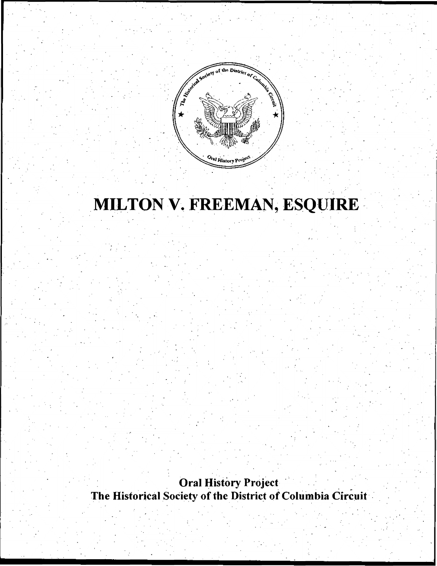

# MILTON V. FREEMAN, ESQUIRE

Oral History Project The Historical Society of the District of Columbia Circuit

.

·. - $\mathcal{L}^{\mathcal{L}}$ •' '

, I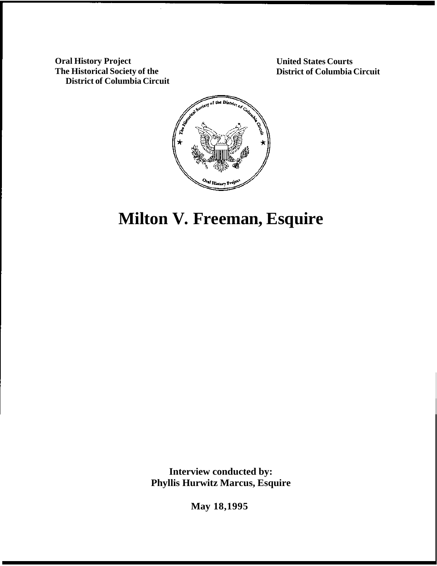**Oral History Project The Historical Society of the District of Columbia Circuit**  **United States Courts District of Columbia Circuit** 



# **Milton V. Freeman, Esquire**

**Interview conducted by: Phyllis Hurwitz Marcus, Esquire** 

**May 18,1995**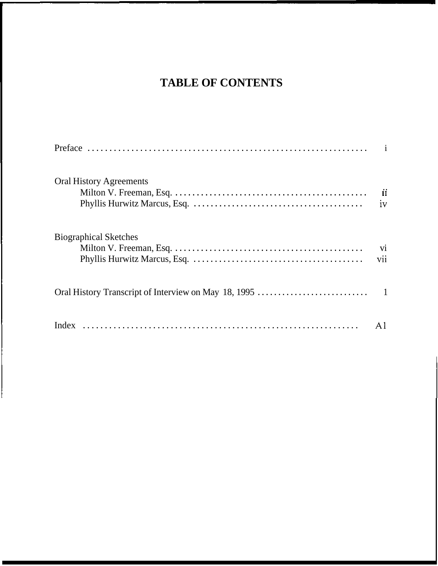# **TABLE OF CONTENTS**

| <b>Oral History Agreements</b> | $\mathbf{ii}$<br>iv |
|--------------------------------|---------------------|
| <b>Biographical Sketches</b>   | vi<br>vii           |
|                                |                     |
|                                |                     |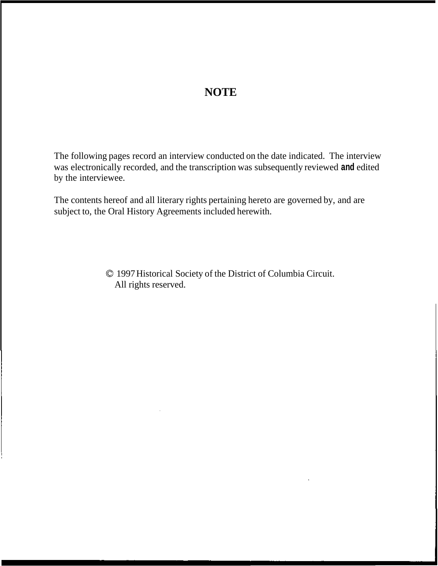## **NOTE**

The following pages record an interview conducted on the date indicated. The interview was electronically recorded, and the transcription was subsequently reviewed **and** edited by the interviewee.

The contents hereof and all literary rights pertaining hereto are governed by, and are subject to, the Oral History Agreements included herewith.

> *0* 1997 Historical Society of the District of Columbia Circuit. All rights reserved.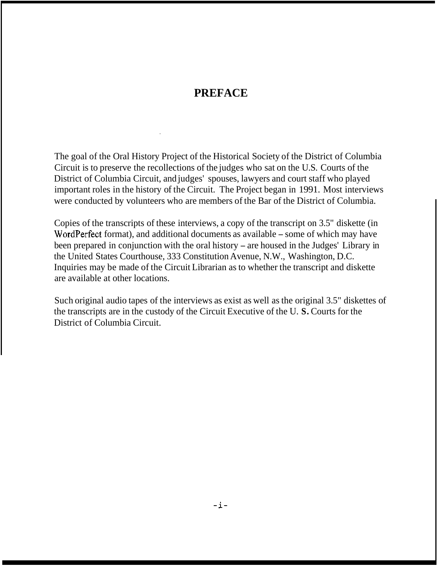## **PREFACE**

The goal of the Oral History Project of the Historical Society of the District of Columbia Circuit is to preserve the recollections of the judges who sat on the U.S. Courts of the District of Columbia Circuit, and judges' spouses, lawyers and court staff who played important roles in the history of the Circuit. The Project began in 1991. Most interviews were conducted by volunteers who are members of the Bar of the District of Columbia.

Copies of the transcripts of these interviews, a copy of the transcript on 3.5" diskette (in WordPerfect format), and additional documents as available – some of which may have been prepared in conjunction with the oral history - are housed in the Judges' Library in the United States Courthouse, 333 Constitution Avenue, N.W., Washington, D.C. Inquiries may be made of the Circuit Librarian as to whether the transcript and diskette are available at other locations.

Such original audio tapes of the interviews as exist as well as the original 3.5" diskettes of the transcripts are in the custody of the Circuit Executive of the U. **S.** Courts for the District of Columbia Circuit.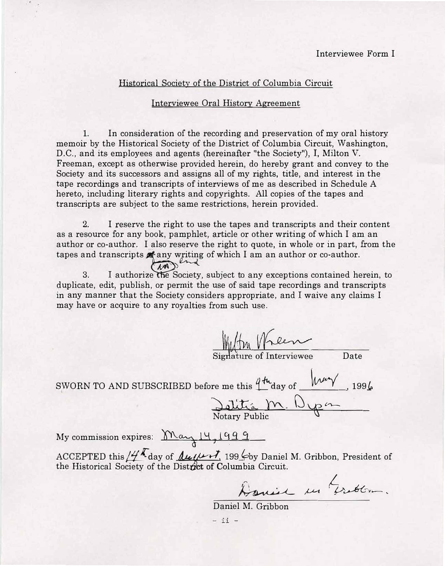## Historical Society of the District of Columbia Circuit

#### Interviewee Oral History Agreement

1. In consideration of the recording and preservation of my oral history memoir by the Historical Society of the District of Columbia Circuit, Washington, D.C., and its employees and agents (hereinafter "the Society"), I, Milton V. Freeman, except as otherwise provided herein, do hereby grant and convey to the Society and its successors and assigns all of my rights, title, and interest in the tape recordings and transcripts of interviews of me as described in Schedule A hereto, including literary rights and copyrights. All copies of the tapes and transcripts are subject to the same restrictions, herein provided.

2. I reserve the right to use the tapes and transcripts and their content as a resource for any book, pamphlet, article or other writing of which I am an author or co-author. I also reserve the right to quote, in whole or in part, from the in end

tapes and transcripts  $\alpha$  any writing of which I am an author or co-author.<br>3. I authorize the Society, subject to any exceptions contained he 3.I authorize the Society, subject to any exceptions contained herein, to duplicate, edit, publish, or permit the use of said tape recordings and transcripts in any manner that the Society considers appropriate, and I waive any claims I may have or acquire to any royalties from such use.

Signature of Interviewee **Date** SWORN TO AND SUBSCRIBED before me this  $4\frac{\mu_{\rm u}}{2}$  day of  $\mu_{\rm w}$  , 1994. <u>Dolitia M. Dypon</u> My commission expires:  $M_{\alpha\gamma}$  14, 1999 ACCEPTED this  $\frac{1}{2}$  day of *<u>Ausent</u>*, 199 by Daniel M. Gribbon, President of the Historical Society of the District of Columbia Circuit.

Doniel in Grabbon.

Daniel M. Gribbon

- ii -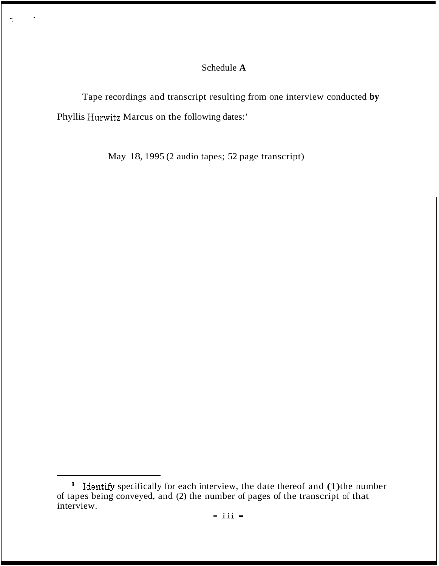## Schedule **A**

Tape recordings and transcript resulting from one interview conducted **by**  Phyllis Hurwitz Marcus on the following dates:'

May 18, 1995 (2 audio tapes; 52 page transcript)

Identify specifically for each interview, the date thereof and (1) the number of tapes being conveyed, and (2) the number of pages of the transcript of that interview.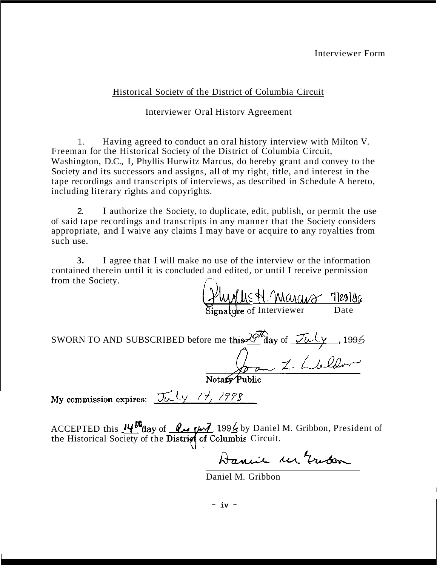## Historical Societv of the District of Columbia Circuit

## Interviewer Oral Historv Agreement

1. Having agreed to conduct an oral history interview with Milton V. Freeman for the Historical Society of the District of Columbia Circuit, Washington, D.C., I, Phyllis Hurwitz Marcus, do hereby grant and convey to the Society and its successors and assigns, all of my right, title, and interest in the tape recordings and transcripts of interviews, as described in Schedule A hereto, including literary rights and copyrights.

2. I authorize the Society, to duplicate, edit, publish, or permit the use of said tape recordings and transcripts in any manner that the Society considers appropriate, and I waive any claims I may have or acquire to any royalties from such use.

**3.** I agree that I will make no use of the interview or the information contained therein until it is concluded and edited, or until I receive permission From the Society.<br> $\sqrt{\frac{244445 \text{ N.A.}}{5144 \text{ N.A.}}}}$ 

Signature of Interviewer Date

SWORN TO AND SUBSCRIBED before me this  $\frac{29}{4}$  day of  $\frac{7\mu(\gamma)}{4}$ , 1996 *A* 

by Daniel M. Gribbon, President of the Historical Society of the District of Columbia Circuit. 199<u>4</u> by Daniel M. Gribbon, President<br>**Iumbia** Circuit.<br>**Aancie M. Gribbon**<br>iiel M. Gribbon ACCEPTED this  $14^{\mu}$  day of

Daniel M. Gribbon

- **iv** -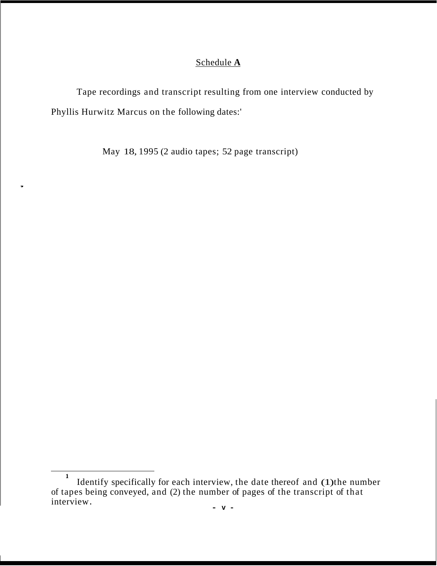## Schedule **A**

Tape recordings and transcript resulting from one interview conducted by Phyllis Hurwitz Marcus on the following dates:'

May 18, 1995 (2 audio tapes; 52 page transcript)

,

<sup>&</sup>lt;sup>1</sup> Identify specifically for each interview, the date thereof and (1) the number of tapes being conveyed, and (2) the number of pages of the transcript of that interview.  $-\mathbf{v} - \mathbf{v}$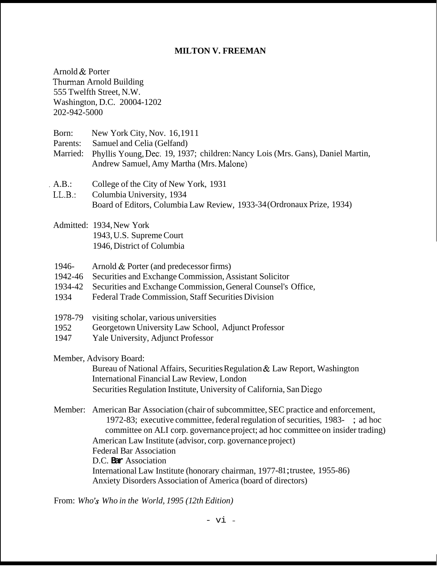## **MILTON V. FREEMAN**

Arnold & Porter Thurman Arnold Building 555 Twelfth Street, N.W. Washington, D.C. 20004-1202 202-942-5000

- Born: New York City, Nov. 16,1911
- Parents: Samuel and Celia (Gelfand)
- Married: Phyllis Young, Dec. 19, 1937; children: Nancy Lois (Mrs. Gans), Daniel Martin, Andrew Samuel, Amy Martha (Mrs. Malone)
- . A.B.: College of the City of New York, 1931
- Board of Editors, Columbia Law Review, 1933-34 (Ordronaux Prize, 1934) LL.B.: Columbia University, 1934
- Admitted: 1934, New York 1943, U.S. Supreme Court 1946, District of Columbia
- 1946- Arnold & Porter (and predecessor firms)
- 1942-46 Securities and Exchange Commission, Assistant Solicitor
- 1934-42 Securities and Exchange Commission, General Counsel's Office,
- 1934 Federal Trade Commission, Staff Securities Division
- 1978-79 visiting scholar, various universities
- 1952 Georgetown University Law School, Adjunct Professor
- 1947 Yale University, Adjunct Professor

Member, Advisory Board:

Bureau of National Affairs, Securities Regulation & Law Report, Washington International Financial Law Review, London Securities Regulation Institute, University of California, San Diego

Member: American Bar Association (chair of subcommittee, SEC practice and enforcement, 1972-83; executive committee, federal regulation of securities, 1983- ; ad hoc committee on ALI corp. governance project; ad hoc committee on insider trading) American Law Institute (advisor, corp. governance project) Federal Bar Association D.C. **Bar** Association International Law Institute (honorary chairman, 1977-81; trustee, 1955-86) Anxiety Disorders Association of America (board of directors)

From: *Who's Who in the World, 1995 (12th Edition)*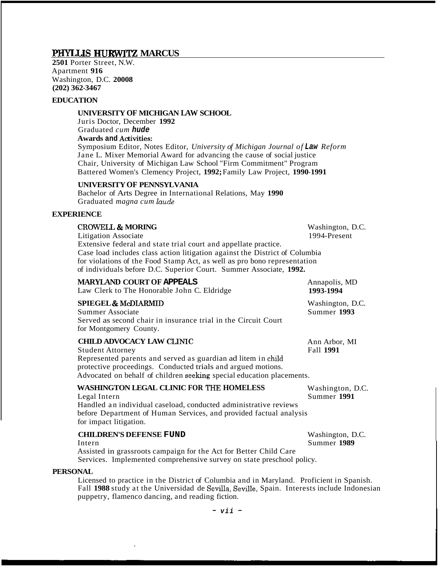## PHYLLIS HURWITZ MARCUS

**2501** Porter Street, N.W. Apartment **916**  Washington, D.C. **20008 (202) 362-3467**

#### **EDUCATION**

### **UNIVERSITY OF MICHIGAN LAW SCHOOL**

Juris Doctor, December **1992**  Graduated *cum hude*  **Awards and Activities:**  Symposium Editor, Notes Editor, *University of Michigan Journal of Law Reform* 

Jane L. Mixer Memorial Award for advancing the cause of social justice Chair, University of Michigan Law School "Firm Commitment" Program Battered Women's Clemency Project, **1992;** Family Law Project, **1990- 1991** 

#### **UNIVERSITY OF PENNSYLVANIA**

Bachelor of Arts Degree in International Relations, May **1990**  Graduated *magna cum hude* 

### **EXPERIENCE**

# **CROWELL & MORING CROWELL & MORING CROWELL AS**

Litigation Associate 1994-Present Extensive federal and state trial court and appellate practice. Case load includes class action litigation against the District of Columbia for violations of the Food Stamp Act, as well as pro bono representation of individuals before D.C. Superior Court. Summer Associate, **1992.** 

#### **MARYLAND COURT OF APPEALS SPIEGEL & McDIARMID** Washington, D.C. Summer Associate Summer **1993**  Served as second chair in insurance trial in the Circuit Court for Montgomery County. **CHILD ADVOCACY LAW CLIMC**  Student Attorney Fall **1991**  Represented parents and served as guardian ad litem in child protective proceedings. Conducted trials and argued motions. Advocated on behalf of children seeking special education placements. **WASHINGTON LEGAL CLINIC FOR THE HOMELESS**  Legal Intern Summer **1991**  Annapolis, MD Law Clerk to The Honorable John C. Eldridge **1993-1994**  Ann Arbor, MI Washington, D.C.

Handled an individual caseload, conducted administrative reviews before Department of Human Services, and provided factual analysis for impact litigation.

#### **CHILDREN'S DEFENSE FUND** Washington, D.C.

Intern Summer **1989**  Assisted in grassroots campaign for the Act for Better Child Care Services. Implemented comprehensive survey on state preschool policy.

#### **PERSONAL**

Licensed to practice in the District of Columbia and in Maryland. Proficient in Spanish. Fall 1988 study at the Universidad de Sevilla, Seville, Spain. Interests include Indonesian puppetry, flamenco dancing, and reading fiction.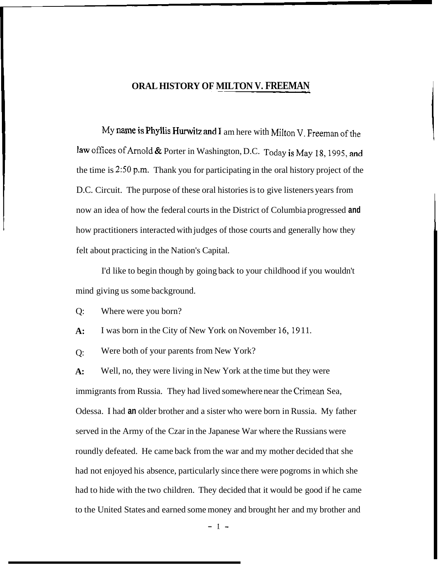## **ORAL HISTORY OF MILTON V. FREEMAN**

My name is Phyllis Hurwitz and I am here with Milton V. Freeman of the law offices of Arnold & Porter in Washington, D.C. Today is May 18, 1995, and the time is  $2:50$  p.m. Thank you for participating in the oral history project of the D.C. Circuit. The purpose of these oral histories is to give listeners years from now an idea of how the federal courts in the District of Columbia progressed **and**  how practitioners interacted with judges of those courts and generally how they felt about practicing in the Nation's Capital.

I'd like to begin though by going back to your childhood if you wouldn't mind giving us some background.

Q: Where were you born?

**A:**  I was born in the City of New York on November 16, 1911.

 $O:$ Were both of your parents from New York?

**A:**  immigrants from Russia. They had lived somewhere near the Crimean Sea, Odessa. I had **an** older brother and a sister who were born in Russia. My father served in the Army of the Czar in the Japanese War where the Russians were roundly defeated. He came back from the war and my mother decided that she had not enjoyed his absence, particularly since there were pogroms in which she had to hide with the two children. They decided that it would be good if he came to the United States and earned some money and brought her and my brother and Well, no, they were living in New York at the time but they were

-1-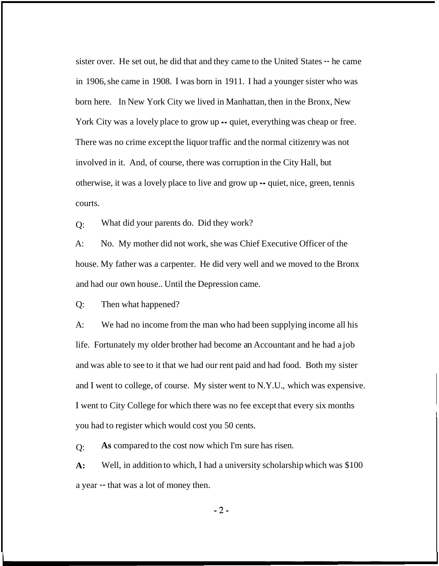sister over. He set out, he did that and they came to the United States -- he came in 1906, she came in 1908. I was born in 1911. I had a younger sister who was born here. In New York City we lived in Manhattan, then in the Bronx, New York City was a lovely place to grow up  $\rightarrow$  quiet, everything was cheap or free. There was no crime except the liquor traffic and the normal citizenry was not involved in it. And, of course, there was corruption in the City Hall, but otherwise, it was a lovely place to live and grow up -- quiet, nice, green, tennis courts.

 $O:$ What did your parents do. Did they work?

 $A^{\cdot}$ house. My father was a carpenter. He did very well and we moved to the Bronx No. My mother did not work, she was Chief Executive Officer of the and had our own house.. Until the Depression came.

Q: Then what happened?

A: We had no income from the man who had been supplying income all his life. Fortunately my older brother had become an Accountant and he had a job and was able to see to it that we had our rent paid and had food. Both my sister and I went to college, of course. My sister went to N.Y.U., which was expensive. I went to City College for which there was no fee except that every six months you had to register which would cost you 50 cents.

 $O:$ **As** compared to the cost now which I'm sure has risen.

**A:**  Well, in addition to which, I had a university scholarship which was \$100 a year -- that was a lot of money then.

**-2-**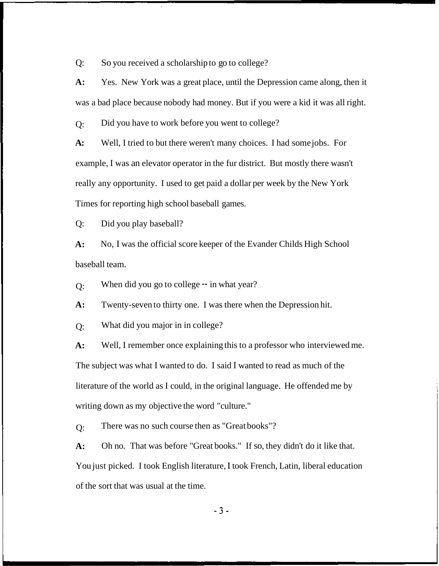Q: So you received a scholarship to go to college?

**A:** Yes. New York was a great place, until the Depression came along, then it was a bad place because nobody had money. But if you were a kid it was all right.

 $O:$ Did you have to work before you went to college?

**A:**  example, I was an elevator operator in the fur district. But mostly there wasn't really any opportunity. I used to get paid a dollar per week by the New York Times for reporting high school baseball games. Well, I tried to but there weren't many choices. I had some jobs. For

Q: Did you play baseball?

**A:**  baseball team. No, I was the official score keeper of the Evander Childs High School

 $O:$ When did you go to college -- in what year?

**A:**  Twenty-seven to thirty one. I was there when the Depression hit.

 $O:$ What did you major in in college?

**A:**  The subject was what I wanted to do. I said I wanted to read as much of the literature of the world as I could, in the original language. He offended me by writing down as my objective the word "culture." Well, I remember once explaining this to a professor who interviewed me.

 $Q:$ There was no such course then as "Great books"?

**A:**  You just picked. I took English literature, I took French, Latin, liberal education of the sort that was usual at the time. Oh no. That was before "Great books." If so, they didn't do it like that.

**-3-**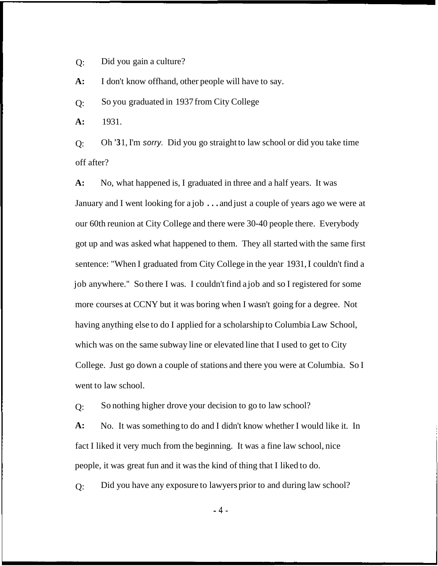$Q$ : Did you gain a culture?

**A:**  I don't know offhand, other people will have to say.

 $O:$ So you graduated in 1937 from City College

**A:** 1931.

 $O:$ off after? Oh **'3** 1, I'm *sorry.* Did you go straight to law school or did you take time

**A:** No, what happened is, I graduated in three and a half years. It was January and I went looking for a job . . . and just a couple of years ago we were at our 60th reunion at City College and there were 30-40 people there. Everybody got up and was asked what happened to them. They all started with the same first sentence: "When I graduated from City College in the year 1931, I couldn't find a job anywhere." So there I was. I couldn't find a job and so I registered for some more courses at CCNY but it was boring when I wasn't going for a degree. Not having anything else to do I applied for a scholarship to Columbia Law School, which was on the same subway line or elevated line that I used to get to City College. Just go down a couple of stations and there you were at Columbia. So I went to law school.

 $O:$ So nothing higher drove your decision to go to law school?

**A:**  fact I liked it very much from the beginning. It was a fine law school, nice people, it was great fun and it was the kind of thing that I liked to do. No. It was something to do and I didn't know whether I would like it. In

 $O:$ Did you have any exposure to lawyers prior to and during law school?

**-4-**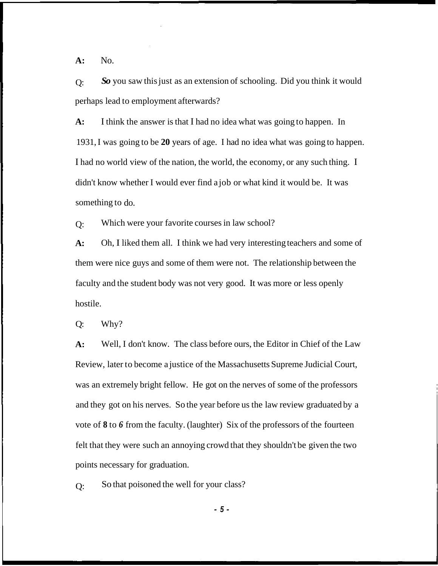**A:** No.

 $O:$ perhaps lead to employment afterwards? *So* you saw this just as an extension of schooling. Did you think it would

**A:**  193 1, I was going to be **20** years of age. I had no idea what was going to happen. I had no world view of the nation, the world, the economy, or any such thing. I didn't know whether I would ever find a job or what kind it would be. It was something to do. I think the answer is that I had no idea what was going to happen. In

 $O:$ Which were your favorite courses in law school?

**A:**  them were nice guys and some of them were not. The relationship between the faculty and the student body was not very good. It was more or less openly hostile. Oh, I liked them all. I think we had very interesting teachers and some of

Q: Why?

**A:**  Review, later to become a justice of the Massachusetts Supreme Judicial Court, was an extremely bright fellow. He got on the nerves of some of the professors and they got on his nerves. So the year before us the law review graduated by a vote of **8** to *6* from the faculty. (laughter) Six of the professors of the fourteen felt that they were such an annoying crowd that they shouldn't be given the two points necessary for graduation. Well, I don't know. The class before ours, the Editor in Chief of the Law

 $O:$ So that poisoned the well for your class?

*- 5 -*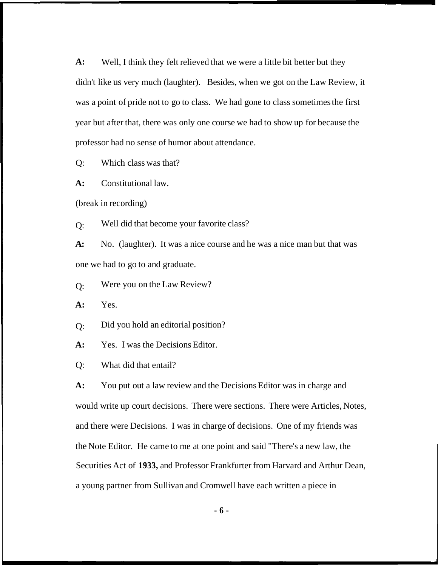**A:**  didn't like us very much (laughter). Besides, when we got on the Law Review, it was a point of pride not to go to class. We had gone to class sometimes the first year but after that, there was only one course we had to show up for because the professor had no sense of humor about attendance. Well, I think they felt relieved that we were a little bit better but they

Q: Which class was that?

**A:** Constitutional law.

(break in recording)

 $O:$ Well did that become your favorite class?

**A:**  one we had to go to and graduate. No. (laughter). It was a nice course and he was a nice man but that was

 $O:$ Were you on the Law Review?

**A:** Yes.

 $O:$ Did you hold an editorial position?

**A:** Yes. I was the Decisions Editor.

Q: What did that entail?

**A:** You put out a law review and the Decisions Editor was in charge and would write up court decisions. There were sections. There were Articles, Notes, and there were Decisions. I was in charge of decisions. One of my friends was the Note Editor. He came to me at one point and said "There's a new law, the Securities Act of **1933,** and Professor Frankfurter from Harvard and Arthur Dean, a young partner from Sullivan and Cromwell have each written a piece in

**- 6 -**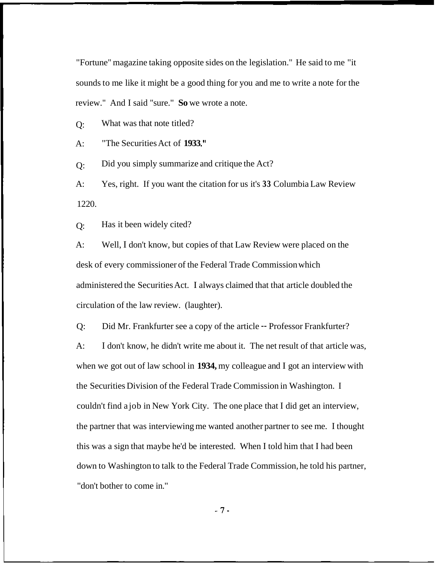"Fortune" magazine taking opposite sides on the legislation." He said to me "it sounds to me like it might be a good thing for you and me to write a note for the review." And I said "sure." **So** we wrote a note.

 $O:$ What was that note titled?

 $A$ : "The Securities Act of **1933 .I'** 

 $O:$ Did you simply summarize and critique the Act?

A: 1220. Yes, right. If you want the citation for us it's **33** Columbia Law Review

 $O:$ Has it been widely cited?

A: desk of every commissioner of the Federal Trade Commission which administered the Securities Act. I always claimed that that article doubled the circulation of the law review. (laughter). Well, I don't know, but copies of that Law Review were placed on the

Q: Did Mr. Frankfurter see a copy of the article -- Professor Frankfurter?

A: I don't know, he didn't write me about it. The net result of that article was, when we got out of law school in **1934**, my colleague and I got an interview with the Securities Division of the Federal Trade Commission in Washington. I couldn't find a job in New York City. The one place that I did get an interview, the partner that was interviewing me wanted another partner to see me. I thought this was a sign that maybe he'd be interested. When I told him that I had been down to Washington to talk to the Federal Trade Commission, he told his partner, "don't bother to come in."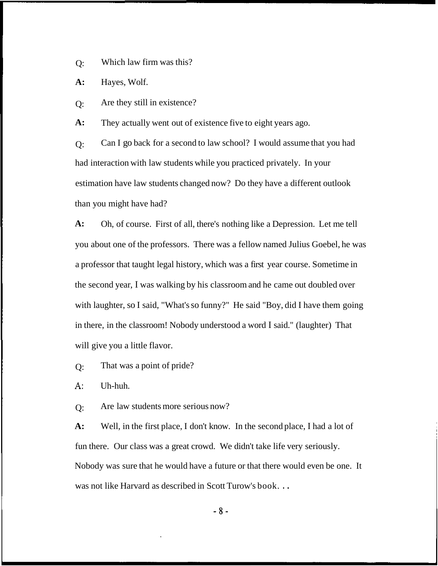$O:$ Which law firm was this?

**A:** Hayes, Wolf.

 $Q:$ Are they still in existence?

**A:**  They actually went out of existence five to eight years ago.

 $O:$ had interaction with law students while you practiced privately. In your estimation have law students changed now? Do they have a different outlook than you might have had? Can I go back for a second to law school? I would assume that you had

**A:**  you about one of the professors. There was a fellow named Julius Goebel, he was a professor that taught legal history, which was a first year course. Sometime in the second year, I was walking by his classroom and he came out doubled over with laughter, so I said, "What's so funny?" He said "Boy, did I have them going in there, in the classroom! Nobody understood a word I said." (laughter) That will give you a little flavor. Oh, of course. First of all, there's nothing like a Depression. Let me tell

 $O:$ That was a point of pride?

**A:** Uh-huh.

 $Q:$ Are law students more serious now?

**A:**  fun there. Our class was a great crowd. We didn't take life very seriously. Nobody was sure that he would have a future or that there would even be one. It was not like Harvard as described in Scott Turow's book. . . Well, in the first place, I don't know. In the second place, I had a lot of

**-8-**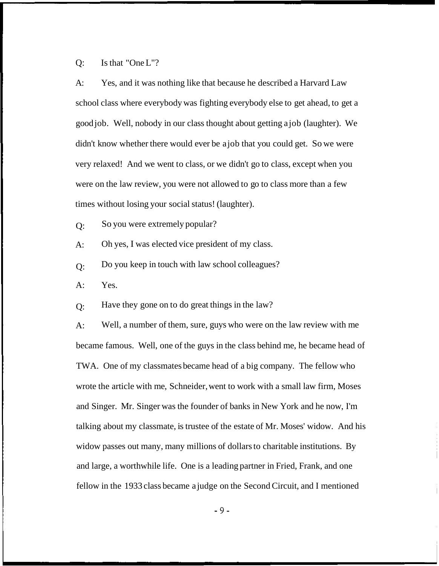### Q: Is that "One L"?

 $A$ : school class where everybody was fighting everybody else to get ahead, to get a good job. Well, nobody in our class thought about getting a job (laughter). We didn't know whether there would ever be a job that you could get. So we were very relaxed! And we went to class, or we didn't go to class, except when you were on the law review, you were not allowed to go to class more than a few times without losing your social status! (laughter). Yes, and it was nothing like that because he described a Harvard Law

- $O:$ So you were extremely popular?
- $A$ : Oh yes, I was elected vice president of my class.
- $O:$ Do you keep in touch with law school colleagues?
- A: Yes.

 $O:$ Have they gone on to do great things in the law?

 $A$ : became famous. Well, one of the guys in the class behind me, he became head of TWA. One of my classmates became head of a big company. The fellow who wrote the article with me, Schneider, went to work with a small law firm, Moses and Singer. Mr. Singer was the founder of banks in New York and he now, I'm talking about my classmate, is trustee of the estate of Mr. Moses' widow. And his widow passes out many, many millions of dollars to charitable institutions. By and large, a worthwhile life. One is a leading partner in Fried, Frank, and one fellow in the 1933 class became a judge on the Second Circuit, and I mentioned Well, a number of them, sure, guys who were on the law review with me

-9-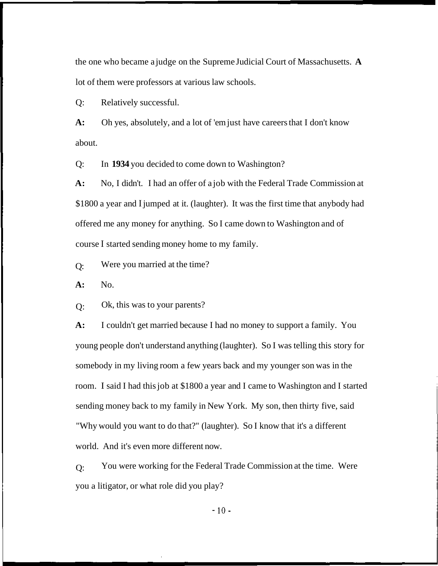the one who became a judge on the Supreme Judicial Court of Massachusetts. **A**  lot of them were professors at various law schools.

Q: Relatively successful.

**A:**  about. Oh yes, absolutely, and a lot of 'em just have careers that I don't know

Q: In **1934** you decided to come down to Washington?

**A:** No, I didn't. I had an offer of a job with the Federal Trade Commission at \$1800 a year and I jumped at it. (laughter). It was the first time that anybody had offered me any money for anything. So I came down to Washington and of course I started sending money home to my family.

 $O:$ Were you married at the time?

**A:** No.

Q: Ok, this was to your parents?

**A:**  young people don't understand anything (laughter). So I was telling this story for somebody in my living room a few years back and my younger son was in the room. I said I had this job at \$1800 a year and I came to Washington and I started sending money back to my family in New York. My son, then thirty five, said "Why would you want to do that?" (laughter). So I know that it's a different world. And it's even more different now. I couldn't get married because I had no money to support a family. You

 $O:$ you a litigator, or what role did you play? You were working for the Federal Trade Commission at the time. Were

 $-10-$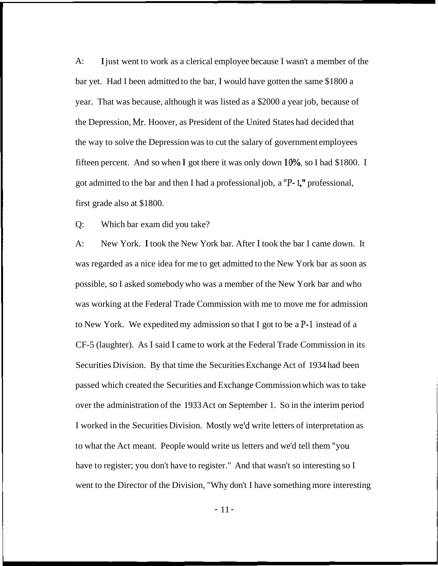A: bar yet. Had I been admitted to the bar, I would have gotten the same \$1800 a year. That was because, although it was listed as a \$2000 a year job, because of the Depression, Mr. Hoover, as President of the United States had decided that the way to solve the Depression was to cut the salary of government employees fifteen percent. And so when  $I$  got there it was only down  $10\%$ , so I had \$1800. I got admitted to the bar and then I had a professional job, a "P- 1 *,I1* professional, first grade also at \$1800. **I** just went to work as a clerical employee because I wasn't a member of the

Q: Which bar exam did you take?

A: New York. **I** took the New York bar. After I took the bar I came down. It was regarded as a nice idea for me to get admitted to the New York bar as soon as possible, so I asked somebody who was a member of the New York bar and who was working at the Federal Trade Commission with me to move me for admission to New York. We expedited my admission so that I got to be a P-1 instead of a CF-5 (laughter). As I said I came to work at the Federal Trade Commission in its Securities Division. By that time the Securities Exchange Act of 1934 had been passed which created the Securities and Exchange Commission which was to take over the administration of the 1933 Act on September 1. So in the interim period I worked in the Securities Division. Mostly weld write letters of interpretation as to what the Act meant. People would write us letters and we'd tell them "you have to register; you don't have to register." And that wasn't so interesting so I went to the Director of the Division, "Why don't I have something more interesting

- 11 -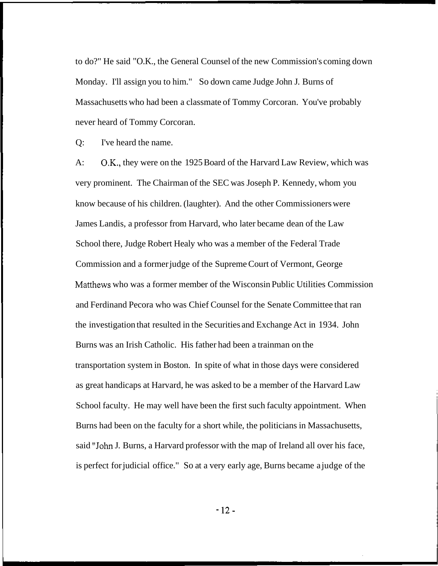to do?" He said "O.K., the General Counsel of the new Commission's coming down Monday. I'll assign you to him." So down came Judge John J. Burns of Massachusetts who had been a classmate of Tommy Corcoran. You've probably never heard of Tommy Corcoran.

Q: I've heard the name.

 $A$ : very prominent. The Chairman of the SEC was Joseph P. Kennedy, whom you know because of his children. (laughter). And the other Commissioners were James Landis, a professor from Harvard, who later became dean of the Law School there, Judge Robert Healy who was a member of the Federal Trade Commission and a former judge of the Supreme Court of Vermont, George Matthews who was a former member of the Wisconsin Public Utilities Commission and Ferdinand Pecora who was Chief Counsel for the Senate Committee that ran the investigation that resulted in the Securities and Exchange Act in 1934. John Burns was an Irish Catholic. His father had been a trainman on the transportation system in Boston. In spite of what in those days were considered as great handicaps at Harvard, he was asked to be a member of the Harvard Law School faculty. He may well have been the first such faculty appointment. When Burns had been on the faculty for a short while, the politicians in Massachusetts, said "John J. Burns, a Harvard professor with the map of Ireland all over his face, is perfect for judicial office." So at a very early age, Burns became a judge of the OK., they were on the 1925 Board of the Harvard Law Review, which was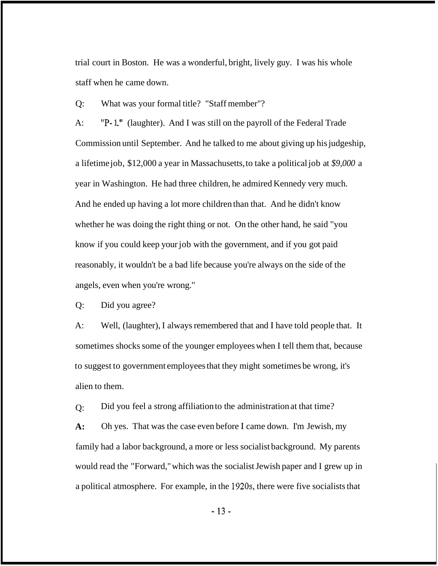trial court in Boston. He was a wonderful, bright, lively guy. I was his whole staff when he came down.

Q: What was your formal title? "Staff member"?

A: "P-1." (laughter). And I was still on the payroll of the Federal Trade Commission until September. And he talked to me about giving up his judgeship, a lifetime job, \$12,000 a year in Massachusetts, to take a political job at *\$9,000* a year in Washington. He had three children, he admired Kennedy very much. And he ended up having a lot more children than that. And he didn't know whether he was doing the right thing or not. On the other hand, he said "you know if you could keep your job with the government, and if you got paid reasonably, it wouldn't be a bad life because you're always on the side of the angels, even when you're wrong."

Q: Did you agree?

A: Well, (laughter), I always remembered that and I have told people that. It sometimes shocks some of the younger employees when I tell them that, because to suggest to government employees that they might sometimes be wrong, it's alien to them.

Q: Did you feel a strong affiliation to the administration at that time?

**A:**  family had a labor background, a more or less socialist background. My parents would read the "Forward," which was the socialist Jewish paper and I grew up in Oh yes. That was the case even before I came down. I'm Jewish, my a political atmosphere. For example, in the 1920s, there were five socialists that

-13-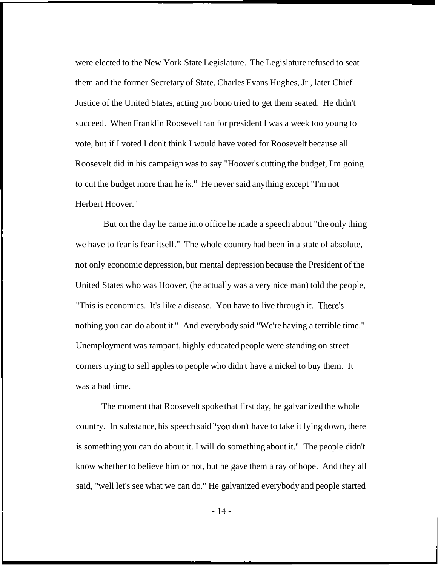were elected to the New York State Legislature. The Legislature refused to seat them and the former Secretary of State, Charles Evans Hughes, Jr., later Chief Justice of the United States, acting pro bono tried to get them seated. He didn't succeed. When Franklin Roosevelt ran for president I was a week too young to vote, but if I voted I don't think I would have voted for Roosevelt because all Roosevelt did in his campaign was to say "Hoover's cutting the budget, I'm going to cut the budget more than he is." He never said anything except "I'm not Herbert Hoover."

But on the day he came into office he made a speech about "the only thing we have to fear is fear itself." The whole country had been in a state of absolute, not only economic depression, but mental depression because the President of the United States who was Hoover, (he actually was a very nice man) told the people, "This is economics. It's like a disease. You have to live through it. There's nothing you can do about it." And everybody said "We're having a terrible time." Unemployment was rampant, highly educated people were standing on street corners trying to sell apples to people who didn't have a nickel to buy them. It was a bad time.

The moment that Roosevelt spoke that first day, he galvanized the whole country. In substance, his speech said ''you don't have to take it lying down, there is something you can do about it. I will do something about it." The people didn't know whether to believe him or not, but he gave them a ray of hope. And they all said, "well let's see what we can do." He galvanized everybody and people started

- 14-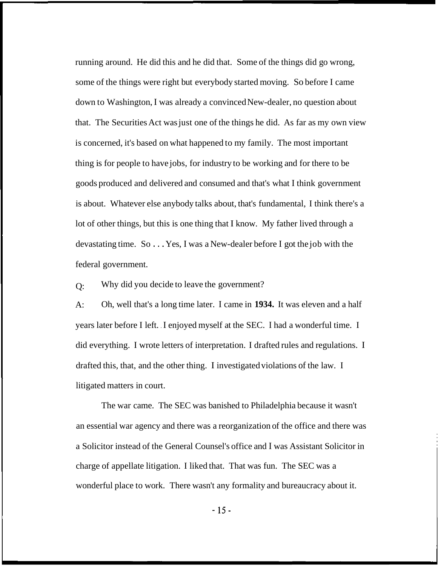running around. He did this and he did that. Some of the things did go wrong, some of the things were right but everybody started moving. So before I came down to Washington, I was already a convinced New-dealer, no question about that. The Securities Act was just one of the things he did. As far as my own view is concerned, it's based on what happened to my family. The most important thing is for people to have jobs, for industry to be working and for there to be goods produced and delivered and consumed and that's what I think government is about. Whatever else anybody talks about, that's fundamental, I think there's a lot of other things, but this is one thing that I know. My father lived through a devastating time. So . . . Yes, I was a New-dealer before I got the job with the federal government.

 $O:$ Why did you decide to leave the government?

 $A$ : years later before I left. . I enjoyed myself at the SEC. I had a wonderful time. I did everything. I wrote letters of interpretation. I drafted rules and regulations. I drafted this, that, and the other thing. I investigated violations of the law. I litigated matters in court. Oh, well that's a long time later. I came in **1934.** It was eleven and a half

The war came. The SEC was banished to Philadelphia because it wasn't an essential war agency and there was a reorganization of the office and there was a Solicitor instead of the General Counsel's office and I was Assistant Solicitor in charge of appellate litigation. I liked that. That was fun. The SEC was a wonderful place to work. There wasn't any formality and bureaucracy about it.

- 15-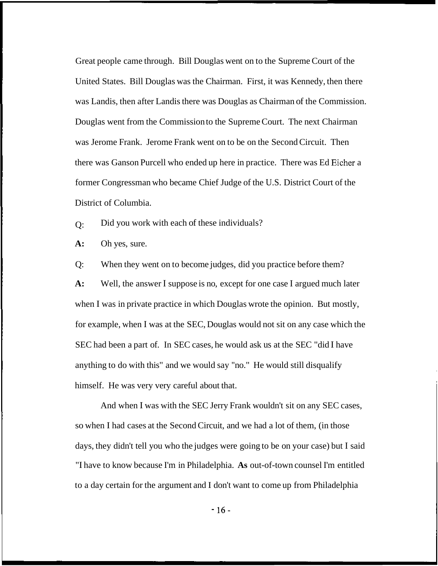Great people came through. Bill Douglas went on to the Supreme Court of the United States. Bill Douglas was the Chairman. First, it was Kennedy, then there was Landis, then after Landis there was Douglas as Chairman of the Commission. Douglas went from the Commission to the Supreme Court. The next Chairman was Jerome Frank. Jerome Frank went on to be on the Second Circuit. Then there was Ganson Purcell who ended up here in practice. There was Ed Eicher a former Congressman who became Chief Judge of the U.S. District Court of the District of Columbia.

 $O:$ Did you work with each of these individuals?

**A:** Oh yes, sure.

Q: When they went on to become judges, did you practice before them?

**A:** Well, the answer I suppose is no, except for one case I argued much later when I was in private practice in which Douglas wrote the opinion. But mostly, for example, when I was at the SEC, Douglas would not sit on any case which the SEC had been a part of. In SEC cases, he would ask us at the SEC "did I have anything to do with this" and we would say "no." He would still disqualify himself. He was very very careful about that.

And when I was with the SEC Jerry Frank wouldn't sit on any SEC cases, so when I had cases at the Second Circuit, and we had a lot of them, (in those days, they didn't tell you who the judges were going to be on your case) but I said "I have to know because I'm in Philadelphia. **As** out-of-town counsel I'm entitled to a day certain for the argument and I don't want to come up from Philadelphia

- 16-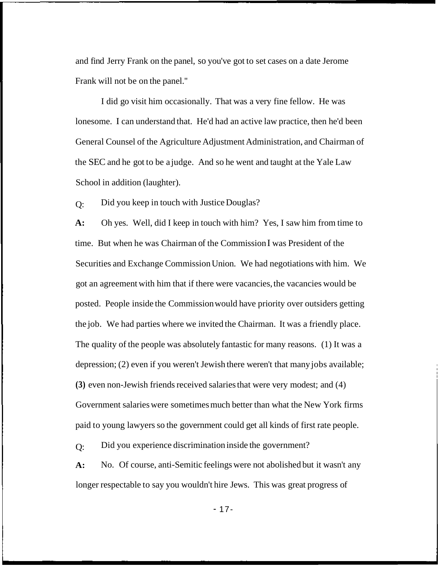and find Jerry Frank on the panel, so you've got to set cases on a date Jerome Frank will not be on the panel.''

I did go visit him occasionally. That was a very fine fellow. He was lonesome. I can understand that. He'd had an active law practice, then he'd been General Counsel of the Agriculture Adjustment Administration, and Chairman of the SEC and he got to be a judge. And so he went and taught at the Yale Law School in addition (laughter).

 $O:$ Did you keep in touch with Justice Douglas?

**A:**  time. But when he was Chairman of the Commission I was President of the Securities and Exchange Commission Union. We had negotiations with him. We got an agreement with him that if there were vacancies, the vacancies would be posted. People inside the Commission would have priority over outsiders getting the job. We had parties where we invited the Chairman. It was a friendly place. The quality of the people was absolutely fantastic for many reasons. (1) It was a depression; (2) even if you weren't Jewish there weren't that many jobs available; **(3)** even non-Jewish friends received salaries that were very modest; and (4) Government salaries were sometimes much better than what the New York firms paid to young lawyers so the government could get all kinds of first rate people. Oh yes. Well, did I keep in touch with him? Yes, I saw him from time to

 $O:$ Did you experience discrimination inside the government?

**A:**  longer respectable to say you wouldn't hire Jews. This was great progress of No. Of course, anti-Semitic feelings were not abolished but it wasn't any

- 17-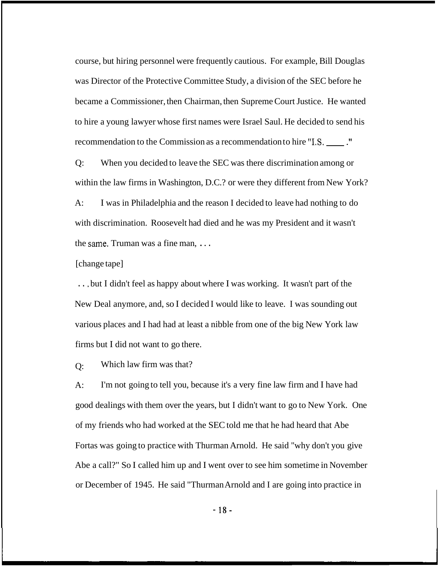course, but hiring personnel were frequently cautious. For example, Bill Douglas was Director of the Protective Committee Study, a division of the SEC before he became a Commissioner, then Chairman, then Supreme Court Justice. He wanted to hire a young lawyer whose first names were Israel Saul. He decided to send his recommendation to the Commission as a recommendation to hire **"IS.** ."

Q: When you decided to leave the SEC was there discrimination among or within the law firms in Washington, D.C.? or were they different from New York?

A: I was in Philadelphia and the reason I decided to leave had nothing to do with discrimination. Roosevelt had died and he was my President and it wasn't the same. Truman was a fine man, . . .

[change tape]

. . , but I didn't feel as happy about where I was working. It wasn't part of the New Deal anymore, and, so I decided I would like to leave. I was sounding out various places and I had had at least a nibble from one of the big New York law firms but I did not want to go there.

 $O:$ Which law firm was that?

 $A$ : good dealings with them over the years, but I didn't want to go to New York. One of my friends who had worked at the SEC told me that he had heard that Abe Fortas was going to practice with Thurman Arnold. He said "why don't you give Abe a call?" So I called him up and I went over to see him sometime in November or December of 1945. He said "Thurman Arnold and I are going into practice in I'm not going to tell you, because it's a very fine law firm and I have had

- **18-**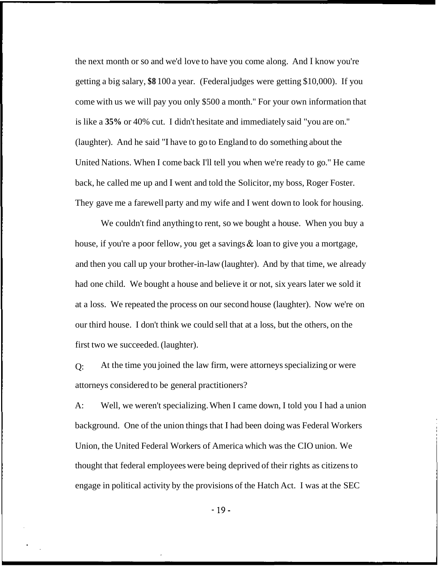the next month or so and we'd love to have you come along. And I know you're getting a big salary, **\$8** 100 a year. (Federal judges were getting \$10,000). If you come with us we will pay you only \$500 a month." For your own information that is like a **35%** or 40% cut. I didn't hesitate and immediately said "you are on.'' (laughter). And he said "I have to go to England to do something about the United Nations. When I come back I'll tell you when we're ready to go." He came back, he called me up and I went and told the Solicitor, my boss, Roger Foster. They gave me a farewell party and my wife and I went down to look for housing.

We couldn't find anything to rent, so we bought a house. When you buy a house, if you're a poor fellow, you get a savings & loan to give you a mortgage, and then you call up your brother-in-law (laughter). And by that time, we already had one child. We bought a house and believe it or not, six years later we sold it at a loss. We repeated the process on our second house (laughter). Now we're on our third house. I don't think we could sell that at a loss, but the others, on the first two we succeeded. (laughter).

 $O:$ attorneys considered to be general practitioners? At the time you joined the law firm, were attorneys specializing or were

A: background. One of the union things that I had been doing was Federal Workers Union, the United Federal Workers of America which was the CIO union. We thought that federal employees were being deprived of their rights as citizens to engage in political activity by the provisions of the Hatch Act. I was at the SEC Well, we weren't specializing. When I came down, I told you I had a union

- 19-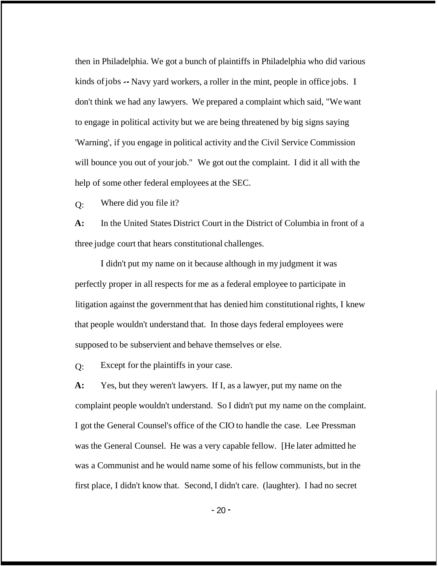then in Philadelphia. We got a bunch of plaintiffs in Philadelphia who did various kinds of jobs -- Navy yard workers, a roller in the mint, people in office jobs. I don't think we had any lawyers. We prepared a complaint which said, "We want to engage in political activity but we are being threatened by big signs saying 'Warning', if you engage in political activity and the Civil Service Commission will bounce you out of your job." We got out the complaint. I did it all with the help of some other federal employees at the SEC.

 $O:$ Where did you file it?

**A:**  three judge court that hears constitutional challenges. In the United States District Court in the District of Columbia in front of a

I didn't put my name on it because although in my judgment it was perfectly proper in all respects for me as a federal employee to participate in litigation against the government that has denied him constitutional rights, I knew that people wouldn't understand that. In those days federal employees were supposed to be subservient and behave themselves or else.

 $O:$ Except for the plaintiffs in your case.

**A:**  Yes, but they weren't lawyers. If I, as a lawyer, put my name on the complaint people wouldn't understand. So I didn't put my name on the complaint. I got the General Counsel's office of the CIO to handle the case. Lee Pressman was the General Counsel. He was a very capable fellow. [He later admitted he was a Communist and he would name some of his fellow communists, but in the first place, I didn't know that. Second, I didn't care. (laughter). I had no secret

 $-20 -$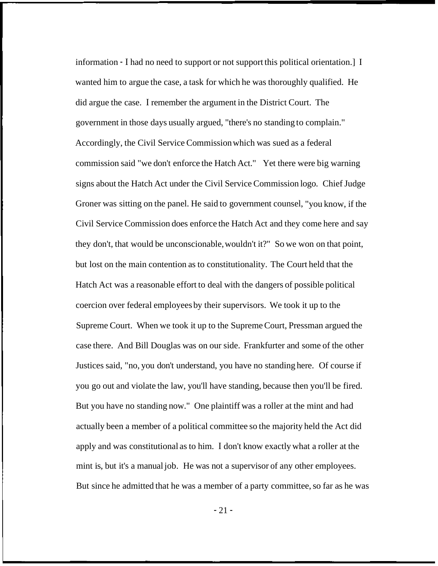information - I had no need to support or not support this political orientation.] I wanted him to argue the case, a task for which he was thoroughly qualified. He did argue the case. I remember the argument in the District Court. The government in those days usually argued, "there's no standing to complain." Accordingly, the Civil Service Commission which was sued as a federal commission said "we don't enforce the Hatch Act." Yet there were big warning signs about the Hatch Act under the Civil Service Commission logo. Chief Judge Groner was sitting on the panel. He said to government counsel, "you know, if the Civil Service Commission does enforce the Hatch Act and they come here and say they don't, that would be unconscionable, wouldn't it?" So we won on that point, but lost on the main contention as to constitutionality. The Court held that the Hatch Act was a reasonable effort to deal with the dangers of possible political coercion over federal employees by their supervisors. We took it up to the Supreme Court. When we took it up to the Supreme Court, Pressman argued the case there. And Bill Douglas was on our side. Frankfurter and some of the other Justices said, "no, you don't understand, you have no standing here. Of course if you go out and violate the law, you'll have standing, because then you'll be fired. But you have no standing now." One plaintiff was a roller at the mint and had actually been a member of a political committee so the majority held the Act did apply and was constitutional as to him. I don't know exactly what a roller at the mint is, but it's a manual job. He was not a supervisor of any other employees. But since he admitted that he was a member of a party committee, so far as he was

 $-21 -$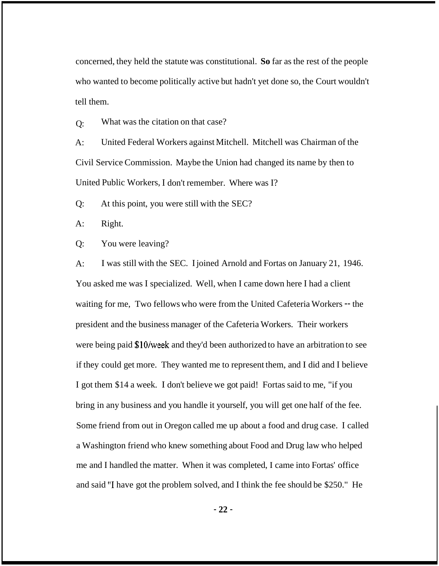concerned, they held the statute was constitutional. **So** far as the rest of the people who wanted to become politically active but hadn't yet done so, the Court wouldn't tell them.

 $O:$ What was the citation on that case?

 $A$ : Civil Service Commission. Maybe the Union had changed its name by then to United Public Workers, I don't remember. Where was I? United Federal Workers against Mitchell. Mitchell was Chairman of the

Q: At this point, you were still with the SEC?

A: Right.

Q: You were leaving?

 $A$ : You asked me was I specialized. Well, when I came down here I had a client waiting for me, Two fellows who were from the United Cafeteria Workers -- the president and the business manager of the Cafeteria Workers. Their workers were being paid \$10/week and they'd been authorized to have an arbitration to see if they could get more. They wanted me to represent them, and I did and I believe I got them \$14 a week. I don't believe we got paid! Fortas said to me, "if you bring in any business and you handle it yourself, you will get one half of the fee. Some friend from out in Oregon called me up about a food and drug case. I called a Washington friend who knew something about Food and Drug law who helped me and I handled the matter. When it was completed, I came into Fortas' office and said "I have got the problem solved, and I think the fee should be \$250." He I was still with the SEC. I joined Arnold and Fortas on January 21, 1946.

- **22** -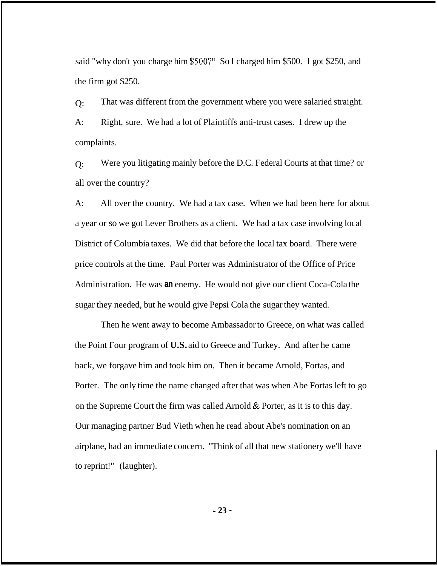said "why don't you charge him *\$500?"* So I charged him \$500. I got \$250, and the firm got \$250.

 $O:$  $A$ : complaints. That was different from the government where you were salaried straight. Right, sure. We had a lot of Plaintiffs anti-trust cases. I drew up the

 $O:$ all over the country? Were you litigating mainly before the D.C. Federal Courts at that time? or

A: a year or so we got Lever Brothers as a client. We had a tax case involving local District of Columbia taxes. We did that before the local tax board. There were price controls at the time. Paul Porter was Administrator of the Office of Price Administration. He was **an** enemy. He would not give our client Coca-Cola the sugar they needed, but he would give Pepsi Cola the sugar they wanted. All over the country. We had a tax case. When we had been here for about

Then he went away to become Ambassador to Greece, on what was called the Point Four program of **U.S.** aid to Greece and Turkey. And after he came back, we forgave him and took him on. Then it became Arnold, Fortas, and Porter. The only time the name changed after that was when Abe Fortas left to go on the Supreme Court the firm was called Arnold  $&$  Porter, as it is to this day. Our managing partner Bud Vieth when he read about Abe's nomination on an airplane, had an immediate concern. "Think of all that new stationery we'll have to reprint!" (laughter).

- **23** -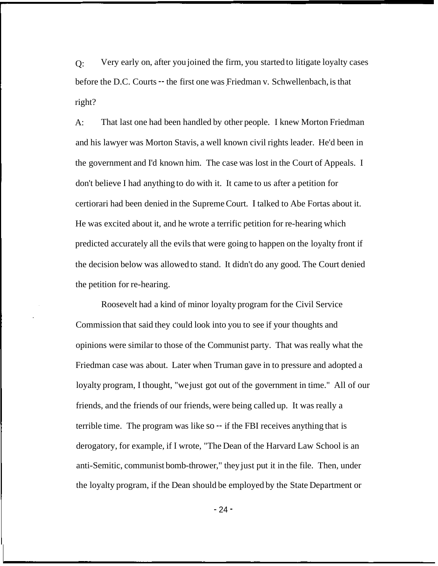$O:$ before the D.C. Courts -- the first one was Friedman v. Schwellenbach, is that right? Very early on, after you joined the firm, you started to litigate loyalty cases

 $A$ : That last one had been handled by other people. I knew Morton Friedman and his lawyer was Morton Stavis, a well known civil rights leader. He'd been in the government and I'd known him. The case was lost in the Court of Appeals. I don't believe I had anything to do with it. It came to us after a petition for certiorari had been denied in the Supreme Court. I talked to Abe Fortas about it. He was excited about it, and he wrote a terrific petition for re-hearing which predicted accurately all the evils that were going to happen on the loyalty front if the decision below was allowed to stand. It didn't do any good. The Court denied the petition for re-hearing.

Roosevelt had a kind of minor loyalty program for the Civil Service Commission that said they could look into you to see if your thoughts and opinions were similar to those of the Communist party. That was really what the Friedman case was about. Later when Truman gave in to pressure and adopted a loyalty program, I thought, "we just got out of the government in time." All of our friends, and the friends of our friends, were being called up. It was really a terrible time. The program was like so -- if the FBI receives anything that is derogatory, for example, if I wrote, "The Dean of the Harvard Law School is an anti-Semitic, communist bomb-thrower," they just put it in the file. Then, under the loyalty program, if the Dean should be employed by the State Department or

- 24 -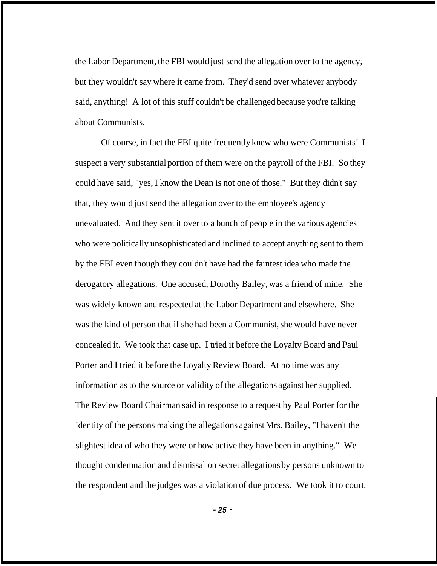the Labor Department, the FBI would just send the allegation over to the agency, but they wouldn't say where it came from. They'd send over whatever anybody said, anything! A lot of this stuff couldn't be challenged because you're talking about Communists.

Of course, in fact the FBI quite frequently knew who were Communists! I suspect a very substantial portion of them were on the payroll of the FBI. So they could have said, "yes, I know the Dean is not one of those." But they didn't say that, they would just send the allegation over to the employee's agency unevaluated. And they sent it over to a bunch of people in the various agencies who were politically unsophisticated and inclined to accept anything sent to them by the FBI even though they couldn't have had the faintest idea who made the derogatory allegations. One accused, Dorothy Bailey, was a friend of mine. She was widely known and respected at the Labor Department and elsewhere. She was the kind of person that if she had been a Communist, she would have never concealed it. We took that case up. I tried it before the Loyalty Board and Paul Porter and I tried it before the Loyalty Review Board. At no time was any information as to the source or validity of the allegations against her supplied. The Review Board Chairman said in response to a request by Paul Porter for the identity of the persons making the allegations against Mrs. Bailey, "I haven't the slightest idea of who they were or how active they have been in anything." We thought condemnation and dismissal on secret allegations by persons unknown to the respondent and the judges was a violation of due process. We took it to court.

- *25* -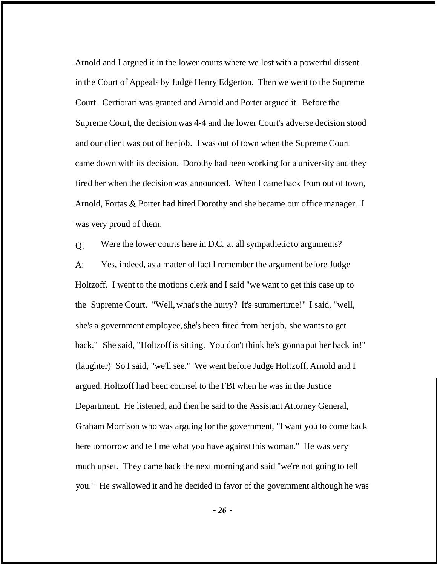Arnold and I argued it in the lower courts where we lost with a powerful dissent in the Court of Appeals by Judge Henry Edgerton. Then we went to the Supreme Court. Certiorari was granted and Arnold and Porter argued it. Before the Supreme Court, the decision was 4-4 and the lower Court's adverse decision stood and our client was out of her job. I was out of town when the Supreme Court came down with its decision. Dorothy had been working for a university and they fired her when the decision was announced. When I came back from out of town, Arnold, Fortas & Porter had hired Dorothy and she became our office manager. I was very proud of them.

 $O:$  $A^{\cdot}$ Holtzoff. I went to the motions clerk and I said "we want to get this case up to the Supreme Court. "Well, what's the hurry? It's summertime!" I said, "well, she's a government employee, she's been fired from her job, she wants to get back." She said, "Holtzoff is sitting. You don't think he's gonna put her back in!" (laughter) So I said, "we'll see." We went before Judge Holtzoff, Arnold and I Were the lower courts here in D.C. at all sympathetic to arguments? Yes, indeed, as a matter of fact I remember the argument before Judge argued. Holtzoff had been counsel to the FBI when he was in the Justice Department. He listened, and then he said to the Assistant Attorney General, Graham Morrison who was arguing for the government, "I want you to come back here tomorrow and tell me what you have against this woman." He was very much upset. They came back the next morning and said "we're not going to tell you." He swallowed it and he decided in favor of the government although he was

- *26* -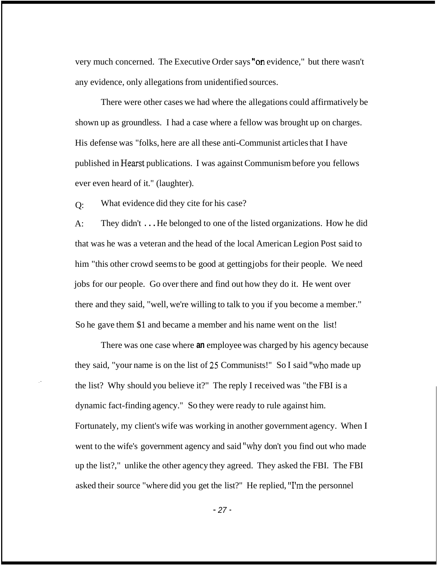very much concerned. The Executive Order says ''on evidence," but there wasn't any evidence, only allegations from unidentified sources.

There were other cases we had where the allegations could affirmatively be shown up as groundless. I had a case where a fellow was brought up on charges. His defense was "folks, here are all these anti-Communist articles that I have published in Hearst publications. I was against Communism before you fellows ever even heard of it." (laughter).

 $O:$ What evidence did they cite for his case?

 $A$ : They didn't . . . He belonged to one of the listed organizations. How he did that was he was a veteran and the head of the local American Legion Post said to him "this other crowd seems to be good at getting jobs for their people. We need jobs for our people. Go over there and find out how they do it. He went over there and they said, "well, we're willing to talk to you if you become a member." So he gave them \$1 and became a member and his name went on the list!

There was one case where **an** employee was charged by his agency because they said, "your name is on the list of 25 Communists!" So I said ''who made up the list? Why should you believe it?" The reply I received was "the FBI is a dynamic fact-finding agency." So they were ready to rule against him. Fortunately, my client's wife was working in another government agency. When I went to the wife's government agency and said "why don't you find out who made up the list?," unlike the other agency they agreed. They asked the FBI. The FBI asked their source "where did you get the list?" He replied, ''I'm the personnel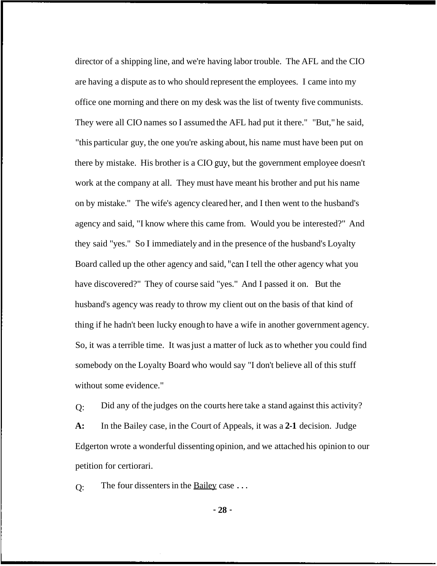director of a shipping line, and we're having labor trouble. The AFL and the CIO are having a dispute as to who should represent the employees. I came into my office one morning and there on my desk was the list of twenty five communists. They were all CIO names so I assumed the AFL had put it there." "But," he said, "this particular guy, the one you're asking about, his name must have been put on there by mistake. His brother is a CIO guy, but the government employee doesn't work at the company at all. They must have meant his brother and put his name on by mistake." The wife's agency cleared her, and I then went to the husband's agency and said, "I know where this came from. Would you be interested?" And they said "yes." So I immediately and in the presence of the husband's Loyalty Board called up the other agency and said, ''can I tell the other agency what you have discovered?" They of course said "yes." And I passed it on. But the husband's agency was ready to throw my client out on the basis of that kind of thing if he hadn't been lucky enough to have a wife in another government agency. So, it was a terrible time. It was just a matter of luck as to whether you could find somebody on the Loyalty Board who would say "I don't believe all of this stuff without some evidence."

 $Q$ : **A:**  Edgerton wrote a wonderful dissenting opinion, and we attached his opinion to our petition for certiorari. Did any of the judges on the courts here take a stand against this activity? In the Bailey case, in the Court of Appeals, it was a **2-1** decision. Judge

 $O:$ The four dissenters in the Bailey case . . .

- **28** -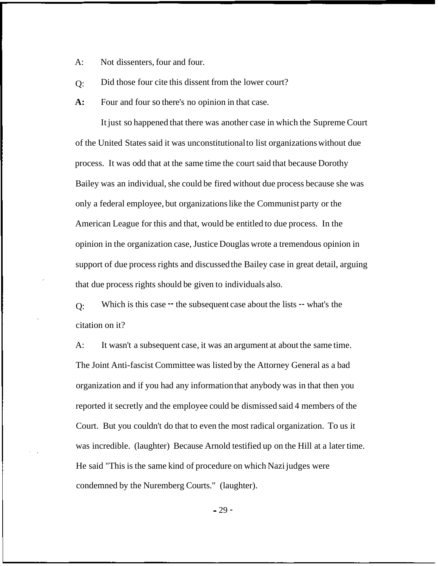$A$ : Not dissenters, four and four.

 $O:$ Did those four cite this dissent from the lower court?

**A:**  Four and four so there's no opinion in that case.

It just so happened that there was another case in which the Supreme Court of the United States said it was unconstitutional to list organizations without due process. It was odd that at the same time the court said that because Dorothy Bailey was an individual, she could be fired without due process because she was only a federal employee, but organizations like the Communist party or the American League for this and that, would be entitled to due process. In the opinion in the organization case, Justice Douglas wrote a tremendous opinion in support of due process rights and discussed the Bailey case in great detail, arguing that due process rights should be given to individuals also.

 $O:$ citation on it? Which is this case  $-$  the subsequent case about the lists  $-$  what's the

A: It wasn't a subsequent case, it was an argument at about the same time. The Joint Anti-fascist Committee was listed by the Attorney General as a bad organization and if you had any information that anybody was in that then you reported it secretly and the employee could be dismissed said 4 members of the Court. But you couldn't do that to even the most radical organization. To us it was incredible. (laughter) Because Arnold testified up on the Hill at a later time. He said "This is the same kind of procedure on which Nazi judges were condemned by the Nuremberg Courts." (laughter).

 $-29 -$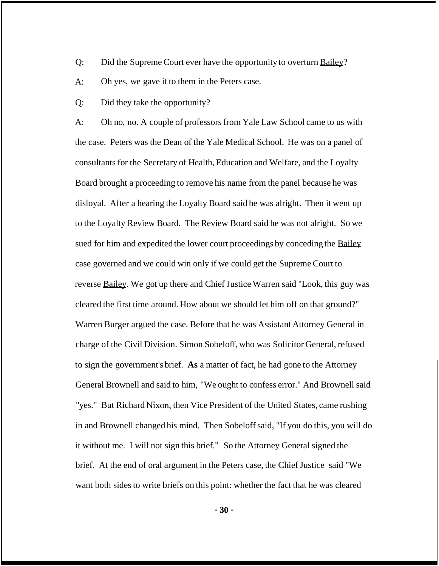- Q: Did the Supreme Court ever have the opportunity to overturn Bailey?
- A: Oh yes, we gave it to them in the Peters case.
- Q: Did they take the opportunity?

A: Oh no, no. A couple of professors from Yale Law School came to us with the case. Peters was the Dean of the Yale Medical School. He was on a panel of consultants for the Secretary of Health, Education and Welfare, and the Loyalty Board brought a proceeding to remove his name from the panel because he was disloyal. After a hearing the Loyalty Board said he was alright. Then it went up to the Loyalty Review Board. The Review Board said he was not alright. So we sued for him and expedited the lower court proceedings by conceding the Bailey case governed and we could win only if we could get the Supreme Court to reverse Bailey. We got up there and Chief Justice Warren said "Look, this guy was cleared the first time around. How about we should let him off on that ground?" Warren Burger argued the case. Before that he was Assistant Attorney General in charge of the Civil Division. Simon Sobeloff, who was Solicitor General, refused to sign the government's brief. **As** a matter of fact, he had gone to the Attorney General Brownell and said to him, "We ought to confess error." And Brownell said "yes." But Richard Nixon, then Vice President of the United States, came rushing in and Brownell changed his mind. Then Sobeloff said, "If you do this, you will do it without me. I will not sign this brief." So the Attorney General signed the brief. At the end of oral argument in the Peters case, the Chief Justice said "We want both sides to write briefs on this point: whether the fact that he was cleared

- **30** -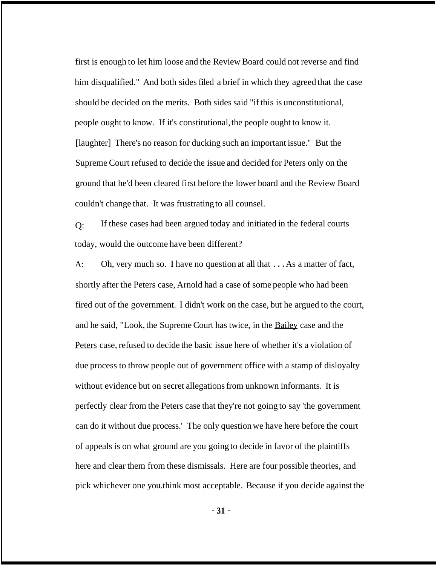first is enough to let him loose and the Review Board could not reverse and find him disqualified." And both sides filed a brief in which they agreed that the case should be decided on the merits. Both sides said "if this is unconstitutional, people ought to know. If it's constitutional, the people ought to know it. [laughter] There's no reason for ducking such an important issue." But the Supreme Court refused to decide the issue and decided for Peters only on the ground that he'd been cleared first before the lower board and the Review Board couldn't change that. It was frustrating to all counsel.

 $O:$ today, would the outcome have been different? If these cases had been argued today and initiated in the federal courts

 $A$ : shortly after the Peters case, Arnold had a case of some people who had been fired out of the government. I didn't work on the case, but he argued to the court, and he said, "Look, the Supreme Court has twice, in the Bailey case and the Peters case, refused to decide the basic issue here of whether it's a violation of due process to throw people out of government office with a stamp of disloyalty without evidence but on secret allegations from unknown informants. It is perfectly clear from the Peters case that they're not going to say 'the government can do it without due process.' The only question we have here before the court of appeals is on what ground are you going to decide in favor of the plaintiffs here and clear them from these dismissals. Here are four possible theories, and pick whichever one you. think most acceptable. Because if you decide against the Oh, very much so. I have no question at all that . . . As a matter of fact,

- **31** -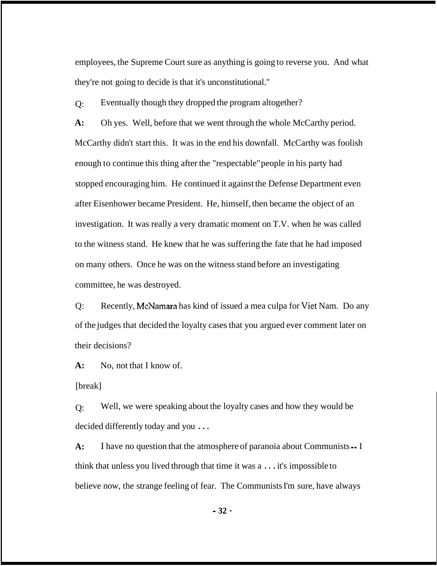employees, the Supreme Court sure as anything is going to reverse you. And what they're not going to decide is that it's unconstitutional."

 $O:$ Eventually though they dropped the program altogether?

**A:**  McCarthy didn't start this. It was in the end his downfall. McCarthy was foolish enough to continue this thing after the "respectable" people in his party had stopped encouraging him. He continued it against the Defense Department even after Eisenhower became President. He, himself, then became the object of an investigation. It was really a very dramatic moment on T.V. when he was called to the witness stand. He knew that he was suffering the fate that he had imposed on many others. Once he was on the witness stand before an investigating committee, he was destroyed. Oh yes. Well, before that we went through the whole McCarthy period.

Q: Recently, McNamara has kind of issued a mea culpa for Viet Nam. Do any of the judges that decided the loyalty cases that you argued ever comment later on their decisions?

**A:**  No, not that I know of.

[break]

 $\Omega$ : decided differently today and you . . . Well, we were speaking about the loyalty cases and how they would be

**A:**  think that unless you lived through that time it was a . . . it's impossible to believe now, the strange feeling of fear. The Communists I'm sure, have always I have no question that the atmosphere of paranoia about Communists -- I

- **32** -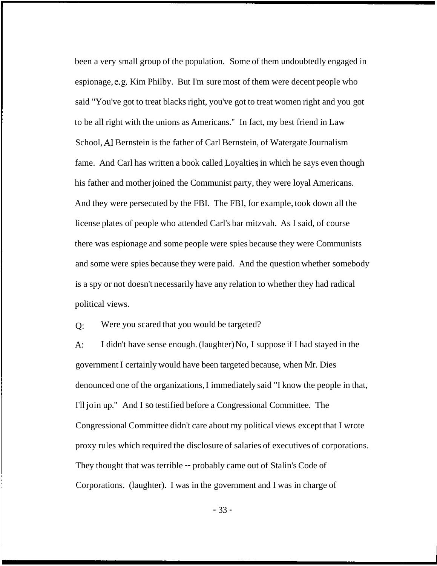been a very small group of the population. Some of them undoubtedly engaged in espionage, e.g. Kim Philby. But I'm sure most of them were decent people who said "You've got to treat blacks right, you've got to treat women right and you got to be all right with the unions as Americans." In fact, my best friend in Law School, A1 Bernstein is the father of Carl Bernstein, of Watergate Journalism fame. And Carl has written a book called Loyalties in which he says even though his father and mother joined the Communist party, they were loyal Americans. And they were persecuted by the FBI. The FBI, for example, took down all the license plates of people who attended Carl's bar mitzvah. As I said, of course there was espionage and some people were spies because they were Communists and some were spies because they were paid. And the question whether somebody is a spy or not doesn't necessarily have any relation to whether they had radical political views.

 $O:$ Were you scared that you would be targeted?

A: government I certainly would have been targeted because, when Mr. Dies denounced one of the organizations, I immediately said "I know the people in that, I'll join up." And I so testified before a Congressional Committee. The Congressional Committee didn't care about my political views except that I wrote proxy rules which required the disclosure of salaries of executives of corporations. They thought that was terrible -- probably came out of Stalin's Code of Corporations. (laughter). I was in the government and I was in charge of I didn't have sense enough. (laughter) No, I suppose if I had stayed in the

- 33 -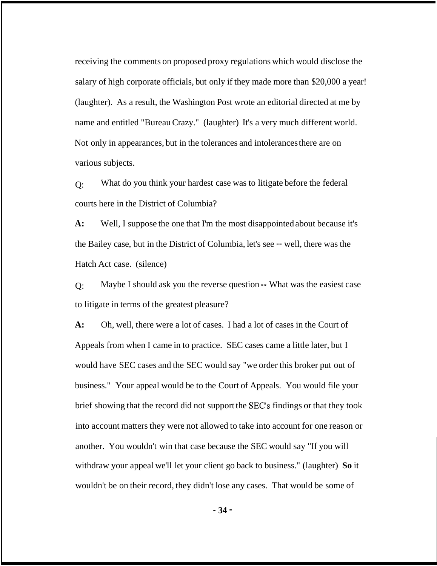receiving the comments on proposed proxy regulations which would disclose the salary of high corporate officials, but only if they made more than \$20,000 a year! (laughter). As a result, the Washington Post wrote an editorial directed at me by name and entitled "Bureau Crazy." (laughter) It's a very much different world. Not only in appearances, but in the tolerances and intolerances there are on various subjects.

 $O:$ courts here in the District of Columbia? What do you think your hardest case was to litigate before the federal

**A:**  the Bailey case, but in the District of Columbia, let's see -- well, there was the Hatch Act case. (silence) Well, I suppose the one that I'm the most disappointed about because it's

 $O:$ to litigate in terms of the greatest pleasure? Maybe I should ask you the reverse question -- What was the easiest case

**A:** Oh, well, there were a lot of cases. I had a lot of cases in the Court of Appeals from when I came in to practice. SEC cases came a little later, but I would have SEC cases and the SEC would say "we order this broker put out of business." Your appeal would be to the Court of Appeals. You would file your brief showing that the record did not support the SEC's findings or that they took into account matters they were not allowed to take into account for one reason or another. You wouldn't win that case because the SEC would say "If you will withdraw your appeal we'll let your client go back to business." (laughter) **So** it wouldn't be on their record, they didn't lose any cases. That would be some of

- **34** -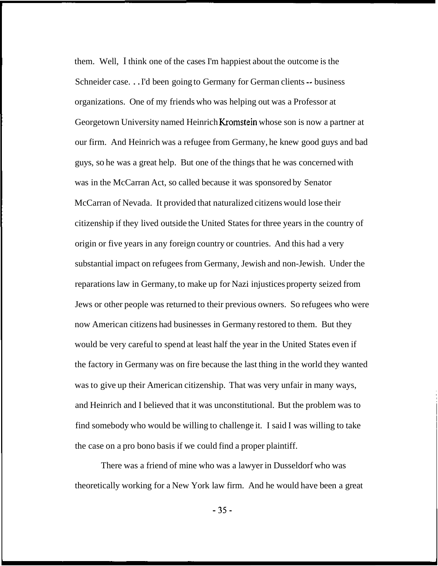them. Well, I think one of the cases I'm happiest about the outcome is the Schneider case. . . I'd been going to Germany for German clients -- business organizations. One of my friends who was helping out was a Professor at Georgetown University named Heinrich Kromstein whose son is now a partner at our firm. And Heinrich was a refugee from Germany, he knew good guys and bad guys, so he was a great help. But one of the things that he was concerned with was in the McCarran Act, so called because it was sponsored by Senator McCarran of Nevada. It provided that naturalized citizens would lose their citizenship if they lived outside the United States for three years in the country of origin or five years in any foreign country or countries. And this had a very substantial impact on refugees from Germany, Jewish and non-Jewish. Under the reparations law in Germany, to make up for Nazi injustices property seized from Jews or other people was returned to their previous owners. So refugees who were now American citizens had businesses in Germany restored to them. But they would be very careful to spend at least half the year in the United States even if the factory in Germany was on fire because the last thing in the world they wanted was to give up their American citizenship. That was very unfair in many ways, and Heinrich and I believed that it was unconstitutional. But the problem was to find somebody who would be willing to challenge it. I said I was willing to take the case on a pro bono basis if we could find a proper plaintiff.

There was a friend of mine who was a lawyer in Dusseldorf who was theoretically working for a New York law firm. And he would have been a great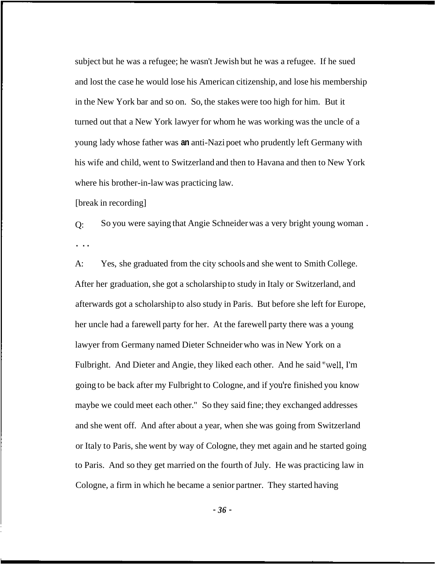subject but he was a refugee; he wasn't Jewish but he was a refugee. If he sued and lost the case he would lose his American citizenship, and lose his membership in the New York bar and so on. So, the stakes were too high for him. But it turned out that a New York lawyer for whom he was working was the uncle of a young lady whose father was **an** anti-Nazi poet who prudently left Germany with his wife and child, went to Switzerland and then to Havana and then to New York where his brother-in-law was practicing law.

[break in recording]

Q: So you were saying that Angie Schneider was a very bright young woman . . ..

A: Yes, she graduated from the city schools and she went to Smith College. After her graduation, she got a scholarship to study in Italy or Switzerland, and afterwards got a scholarship to also study in Paris. But before she left for Europe, her uncle had a farewell party for her. At the farewell party there was a young lawyer from Germany named Dieter Schneider who was in New York on a Fulbright. And Dieter and Angie, they liked each other. And he said "well, I'm going to be back after my Fulbright to Cologne, and if youlre finished you know maybe we could meet each other." So they said fine; they exchanged addresses and she went off. And after about a year, when she was going from Switzerland or Italy to Paris, she went by way of Cologne, they met again and he started going to Paris. And so they get married on the fourth of July. He was practicing law in Cologne, a firm in which he became a senior partner. They started having

- *36* -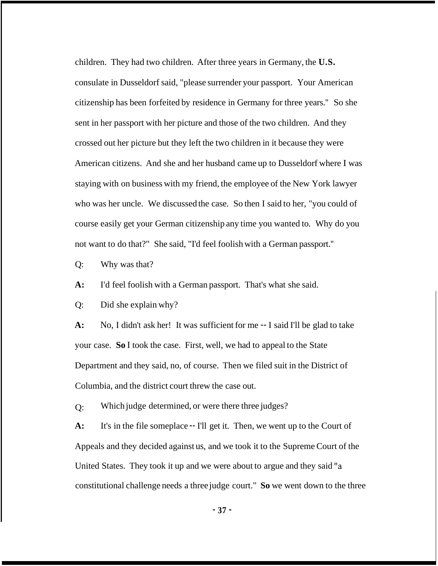children. They had two children. After three years in Germany, the **U.S.**  consulate in Dusseldorf said, "please surrender your passport. Your American citizenship has been forfeited by residence in Germany for three years.'' So she sent in her passport with her picture and those of the two children. And they crossed out her picture but they left the two children in it because they were American citizens. And she and her husband came up to Dusseldorf where I was staying with on business with my friend, the employee of the New York lawyer who was her uncle. We discussed the case. So then I said to her, "you could of course easily get your German citizenship any time you wanted to. Why do you not want to do that?" She said, "I'd feel foolish with a German passport.''

Q: Why was that?

**A:** I'd feel foolish with a German passport. That's what she said.

Q: Did she explain why?

**A:**  your case. **So** I took the case. First, well, we had to appeal to the State Department and they said, no, of course. Then we filed suit in the District of Columbia, and the district court threw the case out. No, I didn't ask her! It was sufficient for me -- I said I'll be glad to take

 $O:$ Which judge determined, or were there three judges?

**A:**  Appeals and they decided against us, and we took it to the Supreme Court of the United States. They took it up and we were about to argue and they said ''a constitutional challenge needs a three judge court." **So** we went down to the three It's in the file someplace -- I'll get it. Then, we went up to the Court of

- **37** -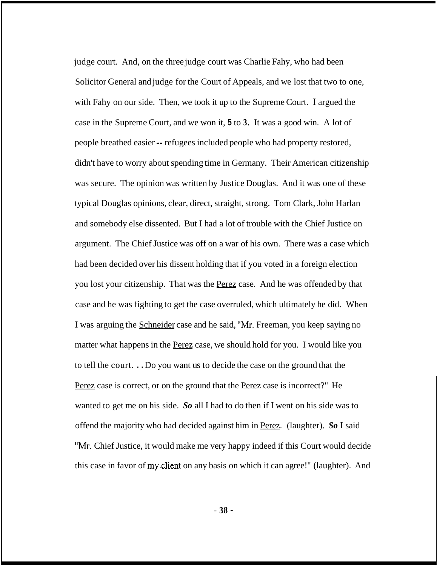judge court. And, on the three judge court was Charlie Fahy, who had been Solicitor General and judge for the Court of Appeals, and we lost that two to one, with Fahy on our side. Then, we took it up to the Supreme Court. I argued the case in the Supreme Court, and we won it, **5** to **3.** It was a good win. A lot of people breathed easier -- refugees included people who had property restored, didn't have to worry about spending time in Germany. Their American citizenship was secure. The opinion was written by Justice Douglas. And it was one of these typical Douglas opinions, clear, direct, straight, strong. Tom Clark, John Harlan and somebody else dissented. But I had a lot of trouble with the Chief Justice on argument. The Chief Justice was off on a war of his own. There was a case which had been decided over his dissent holding that if you voted in a foreign election you lost your citizenship. That was the Perez case. And he was offended by that case and he was fighting to get the case overruled, which ultimately he did. When I was arguing the Schneider case and he said, "Mr. Freeman, you keep saying no matter what happens in the Perez case, we should hold for you. I would like you to tell the court. . . Do you want us to decide the case on the ground that the Perez case is correct, or on the ground that the Perez case is incorrect?" He wanted to get me on his side. *So* all I had to do then if I went on his side was to offend the majority who had decided against him in Perez. (laughter). *So* I said "Mr. Chief Justice, it would make me very happy indeed if this Court would decide this case in favor of my.client on any basis on which it can agree!" (laughter). And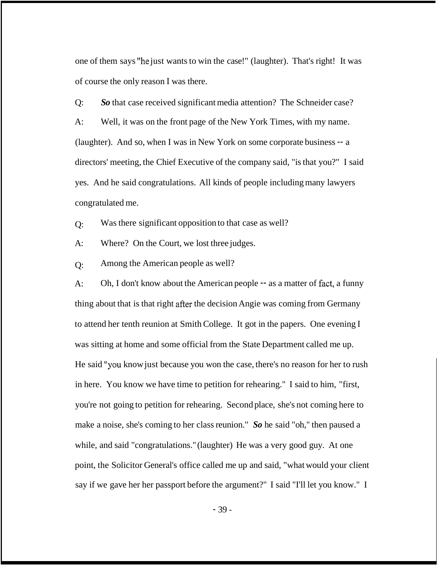one of them says "he just wants to win the case!" (laughter). That's right! It was of course the only reason I was there.

Q: *So* that case received significant media attention? The Schneider case? A: Well, it was on the front page of the New York Times, with my name. (laughter). And so, when I was in New York on some corporate business -- a directors' meeting, the Chief Executive of the company said, "is that you?" I said yes. And he said congratulations. All kinds of people including many lawyers congratulated me.

 $O:$ Was there significant opposition to that case as well?

 $A$ : Where? On the Court, we lost three judges.

 $O:$ Among the American people as well?

 $A$ : thing about that is that right after the decision Angie was coming from Germany to attend her tenth reunion at Smith College. It got in the papers. One evening I was sitting at home and some official from the State Department called me up. Oh, I don't know about the American people  $-$  as a matter of fact, a funny He said ''you know just because you won the case, there's no reason for her to rush in here. You know we have time to petition for rehearing." I said to him, "first, you're not going to petition for rehearing. Second place, she's not coming here to make a noise, she's coming to her class reunion." *So* he said "oh," then paused a while, and said "congratulations." (laughter) He was a very good guy. At one point, the Solicitor General's office called me up and said, "what would your client say if we gave her her passport before the argument?" I said "I'll let you know." I

- 39 -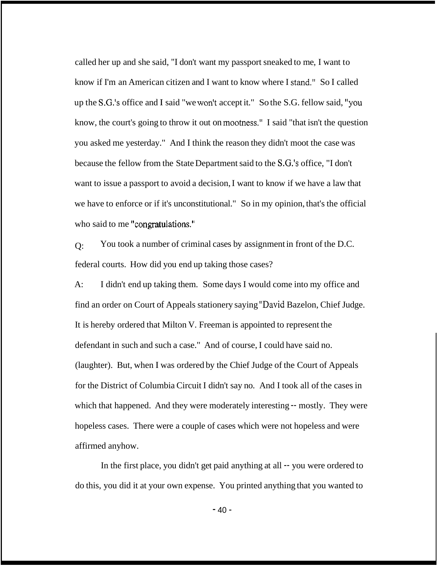called her up and she said, "I don't want my passport sneaked to me, I want to know if I'm an American citizen and I want to know where I stand." So I called up the S.G.'s office and I said "we won't accept it." So the S.G. fellow said, ''you know, the court's going to throw it out on mootness." I said "that isn't the question you asked me yesterday." And I think the reason they didn't moot the case was because the fellow from the State Department said to the S.G.'s office, "I don't want to issue a passport to avoid a decision, I want to know if we have a law that we have to enforce or if it's unconstitutional." So in my opinion, that's the official who said to me "congratulations."

 $O:$ federal courts. How did you end up taking those cases? You took a number of criminal cases by assignment in front of the D.C.

A: find an order on Court of Appeals stationery saying "David Bazelon, Chief Judge. It is hereby ordered that Milton V. Freeman is appointed to represent the I didn't end up taking them. Some days I would come into my office and defendant in such and such a case." And of course, I could have said no. (laughter). But, when I was ordered by the Chief Judge of the Court of Appeals for the District of Columbia Circuit I didn't say no. And I took all of the cases in which that happened. And they were moderately interesting  $-$  mostly. They were hopeless cases. There were a couple of cases which were not hopeless and were affirmed anyhow.

In the first place, you didn't get paid anything at all -- you were ordered to do this, you did it at your own expense. You printed anything that you wanted to

 $-40-$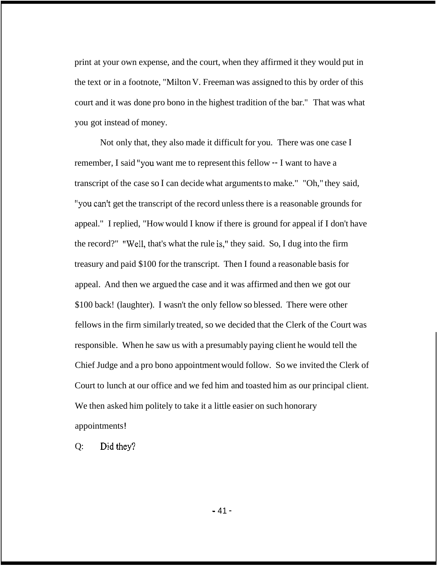print at your own expense, and the court, when they affirmed it they would put in the text or in a footnote, "Milton V. Freeman was assigned to this by order of this court and it was done pro bono in the highest tradition of the bar." That was what you got instead of money.

Not only that, they also made it difficult for you. There was one case I remember, I said ''you want me to represent this fellow -- I want to have a transcript of the case so I can decide what arguments to make." "Oh," they said, ''you can't get the transcript of the record unless there is a reasonable grounds for appeal." I replied, "How would I know if there is ground for appeal if I don't have the record?" "Well, that's what the rule is," they said. So, I dug into the firm treasury and paid \$100 for the transcript. Then I found a reasonable basis for appeal. And then we argued the case and it was affirmed and then we got our \$100 back! (laughter). I wasn't the only fellow so blessed. There were other fellows in the firm similarly treated, so we decided that the Clerk of the Court was responsible. When he saw us with a presumably paying client he would tell the Chief Judge and a pro bono appointment would follow. So we invited the Clerk of Court to lunch at our office and we fed him and toasted him as our principal client. We then asked him politely to take it a little easier on such honorary appointments !

Q: Did they?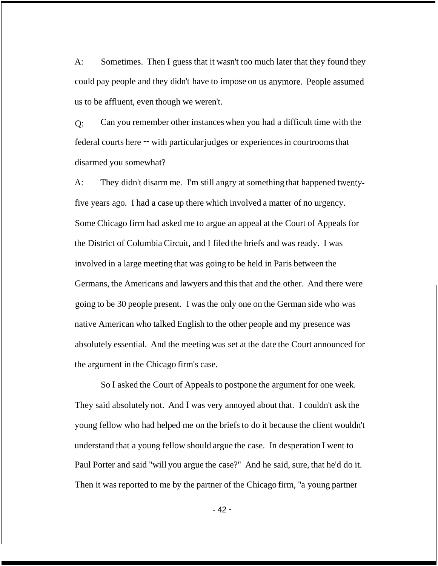A: Sometimes. Then I guess that it wasn't too much later that they found they could pay people and they didn't have to impose on us anymore. People assumed us to be affluent, even though we weren't.

 $O:$ federal courts here -- with particular judges or experiences in courtrooms that disarmed you somewhat? Can you remember other instances when you had a difficult time with the

 $A$ : five years ago. I had a case up there which involved a matter of no urgency. Some Chicago firm had asked me to argue an appeal at the Court of Appeals for the District of Columbia Circuit, and I filed the briefs and was ready. I was involved in a large meeting that was going to be held in Paris between the Germans, the Americans and lawyers and this that and the other. And there were going to be 30 people present. I was the only one on the German side who was They didn't disarm me. I'm still angry at something that happened twentynative American who talked English to the other people and my presence was absolutely essential. And the meeting was set at the date the Court announced for the argument in the Chicago firm's case.

So I asked the Court of Appeals to postpone the argument for one week. They said absolutely not. And I was very annoyed about that. I couldn't ask the young fellow who had helped me on the briefs to do it because the client wouldn't understand that a young fellow should argue the case. In desperation I went to Paul Porter and said "will you argue the case?" And he said, sure, that he'd do it. Then it was reported to me by the partner of the Chicago firm, ''a young partner

- 42 -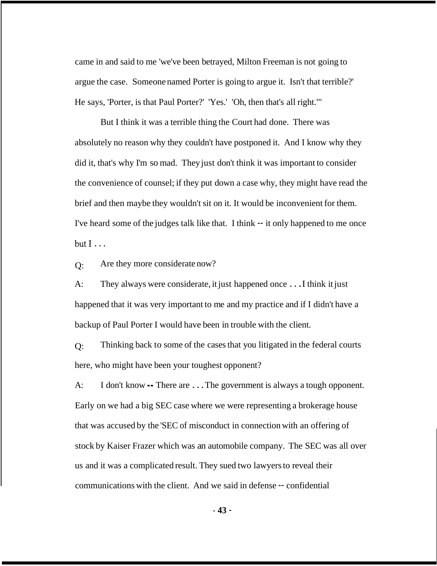came in and said to me 'we've been betrayed, Milton Freeman is not going to argue the case. Someone named Porter is going to argue it. Isn't that terrible?' He says, 'Porter, is that Paul Porter?' 'Yes.' 'Oh, then that's all right."'

But I think it was a terrible thing the Court had done. There was absolutely no reason why they couldn't have postponed it. And I know why they did it, that's why I'm so mad. They just don't think it was important to consider the convenience of counsel; if they put down a case why, they might have read the brief and then maybe they wouldn't sit on it. It would be inconvenient for them. I've heard some of the judges talk like that. I think -- it only happened to me once  $but 1...$ 

 $O:$ Are they more considerate now?

 $A$ : happened that it was very important to me and my practice and if I didn't have a backup of Paul Porter I would have been in trouble with the client. They always were considerate, it just happened once . . . I think it just

 $O:$ here, who might have been your toughest opponent? Thinking back to some of the cases that you litigated in the federal courts

 $A$ : Early on we had a big SEC case where we were representing a brokerage house that was accused by the 'SEC of misconduct in connection with an offering of stock by Kaiser Frazer which was an automobile company. The SEC was all over us and it was a complicated result. They sued two lawyers to reveal their communications with the client. And we said in defense -- confidential I don't know -- There are . . . The government is always a tough opponent.

- **43** -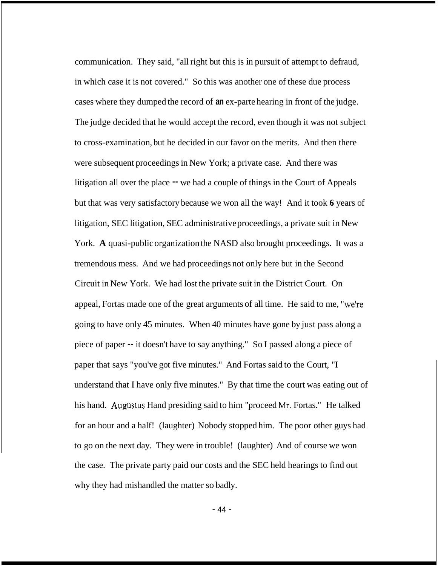communication. They said, "all right but this is in pursuit of attempt to defraud, in which case it is not covered." So this was another one of these due process cases where they dumped the record of **an** ex-parte hearing in front of the judge. The judge decided that he would accept the record, even though it was not subject to cross-examination, but he decided in our favor on the merits. And then there were subsequent proceedings in New York; a private case. And there was litigation all over the place  $-$  we had a couple of things in the Court of Appeals but that was very satisfactory because we won all the way! And it took **6** years of litigation, SEC litigation, SEC administrative proceedings, a private suit in New York. **A** quasi-public organization the NASD also brought proceedings. It was a tremendous mess. And we had proceedings not only here but in the Second Circuit in New York. We had lost the private suit in the District Court. On appeal, Fortas made one of the great arguments of all time. He said to me, ''we're going to have only 45 minutes. When 40 minutes have gone by just pass along a piece of paper -- it doesn't have to say anything." So I passed along a piece of paper that says "you've got five minutes." And Fortas said to the Court, "I understand that I have only five minutes." By that time the court was eating out of his hand. Augustus Hand presiding said to him ''proceed Mr. Fortas." He talked for an hour and a half! (laughter) Nobody stopped him. The poor other guys had to go on the next day. They were in trouble! (laughter) And of course we won the case. The private party paid our costs and the SEC held hearings to find out why they had mishandled the matter so badly.

- 44 -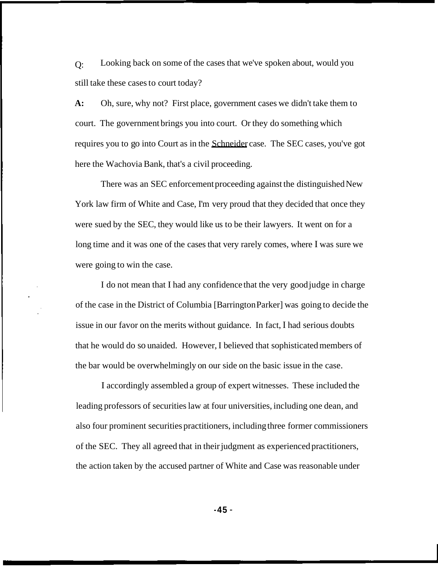Q: still take these cases to court today? Looking back on some of the cases that we've spoken about, would you

**A:**  court. The government brings you into court. Or they do something which requires you to go into Court as in the Schneider case. The SEC cases, you've got here the Wachovia Bank, that's a civil proceeding. Oh, sure, why not? First place, government cases we didn't take them to

There was an SEC enforcement proceeding against the distinguished New York law firm of White and Case, I'm very proud that they decided that once they were sued by the SEC, they would like us to be their lawyers. It went on for a long time and it was one of the cases that very rarely comes, where I was sure we were going to win the case.

I do not mean that I had any confidence that the very good judge in charge of the case in the District of Columbia [Barrington Parker] was going to decide the issue in our favor on the merits without guidance. In fact, I had serious doubts that he would do so unaided. However, I believed that sophisticated members of the bar would be overwhelmingly on our side on the basic issue in the case.

I accordingly assembled a group of expert witnesses. These included the leading professors of securities law at four universities, including one dean, and also four prominent securities practitioners, including three former commissioners of the SEC. They all agreed that in their judgment as experienced practitioners, the action taken by the accused partner of White and Case was reasonable under

**-45** -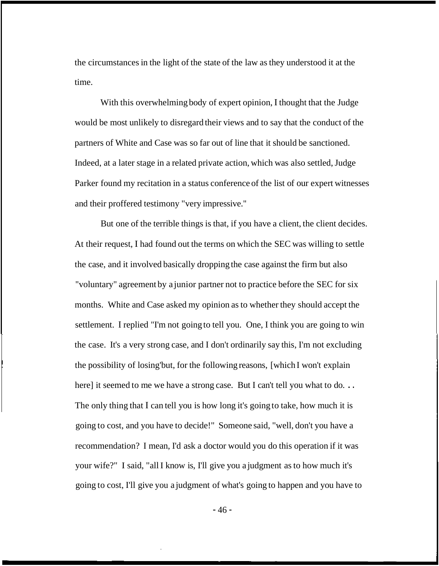the circumstances in the light of the state of the law as they understood it at the time.

With this overwhelming body of expert opinion, I thought that the Judge would be most unlikely to disregard their views and to say that the conduct of the partners of White and Case was so far out of line that it should be sanctioned. Indeed, at a later stage in a related private action, which was also settled, Judge Parker found my recitation in a status conference of the list of our expert witnesses and their proffered testimony "very impressive."

But one of the terrible things is that, if you have a client, the client decides. At their request, I had found out the terms on which the SEC was willing to settle the case, and it involved basically dropping the case against the firm but also "voluntary" agreement by a junior partner not to practice before the SEC for six months. White and Case asked my opinion as to whether they should accept the settlement. I replied "I'm not going to tell you. One, I think you are going to win the case. It's a very strong case, and I don't ordinarily say this, I'm not excluding the possibility of losing'but, for the following reasons, [which I won't explain here] it seemed to me we have a strong case. But I can't tell you what to do... The only thing that I can tell you is how long it's going to take, how much it is going to cost, and you have to decide!" Someone said, "well, don't you have a recommendation? I mean, I'd ask a doctor would you do this operation if it was your wife?" I said, "all I know is, I'll give you a judgment as to how much it's going to cost, I'll give you a judgment of what's going to happen and you have to

- 46 -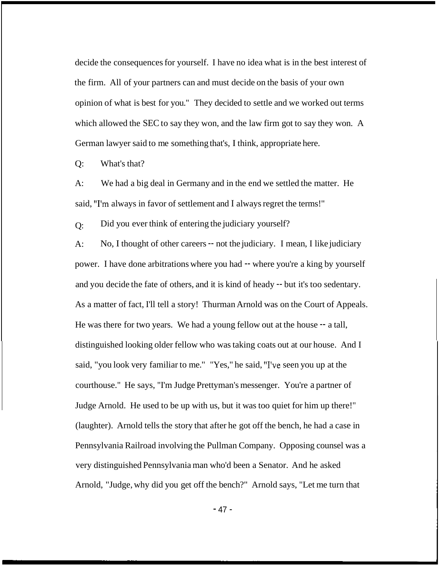decide the consequences for yourself. I have no idea what is in the best interest of the firm. All of your partners can and must decide on the basis of your own opinion of what is best for you." They decided to settle and we worked out terms which allowed the SEC to say they won, and the law firm got to say they won. A German lawyer said to me something that's, I think, appropriate here.

Q: What's that?

 $A$ : said, "I'm always in favor of settlement and I always regret the terms!" We had a big deal in Germany and in the end we settled the matter. He

 $O:$ Did you ever think of entering the judiciary yourself?

A: power. I have done arbitrations where you had -- where you're a king by yourself and you decide the fate of others, and it is kind of heady -- but it's too sedentary. As a matter of fact, I'll tell a story! Thurman Arnold was on the Court of Appeals. He was there for two years. We had a young fellow out at the house  $-$  a tall, distinguished looking older fellow who was taking coats out at our house. And I said, "you look very familiar to me." "Yes," he said, "I've seen you up at the courthouse." He says, "I'm Judge Prettyman's messenger. You're a partner of Judge Arnold. He used to be up with us, but it was too quiet for him up there!" (laughter). Arnold tells the story that after he got off the bench, he had a case in Pennsylvania Railroad involving the Pullman Company. Opposing counsel was a very distinguished Pennsylvania man who'd been a Senator. And he asked Arnold, "Judge, why did you get off the bench?" Arnold says, "Let me turn that No, I thought of other careers -- not the judiciary. I mean, I like judiciary

- 47 -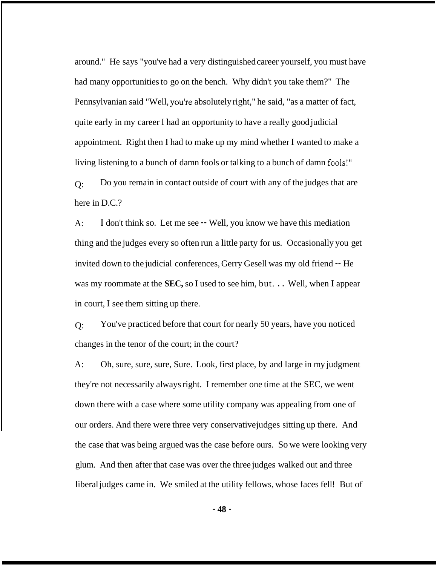around." He says "you've had a very distinguished career yourself, you must have had many opportunities to go on the bench. Why didn't you take them?" The Pennsylvanian said "Well, you're absolutely right," he said, "as a matter of fact, quite early in my career I had an opportunity to have a really good judicial appointment. Right then I had to make up my mind whether I wanted to make a living listening to a bunch of damn fools or talking to a bunch of damn fools!"  $O:$ Do you remain in contact outside of court with any of the judges that are

here in D.C.?

 $A$ : thing and the judges every so often run a little party for us. Occasionally you get invited down to the judicial conferences, Gerry Gesell was my old friend -- He was my roommate at the **SEC,** so I used to see him, but. . . Well, when I appear in court, I see them sitting up there. I don't think so. Let me see -- Well, you know we have this mediation

 $O:$ changes in the tenor of the court; in the court? You've practiced before that court for nearly 50 years, have you noticed

 $A$ : they're not necessarily always right. I remember one time at the SEC, we went down there with a case where some utility company was appealing from one of our orders. And there were three very conservative judges sitting up there. And the case that was being argued was the case before ours. So we were looking very glum. And then after that case was over the three judges walked out and three liberal judges came in. We smiled at the utility fellows, whose faces fell! But of Oh, sure, sure, sure, Sure. Look, first place, by and large in my judgment

- **48** -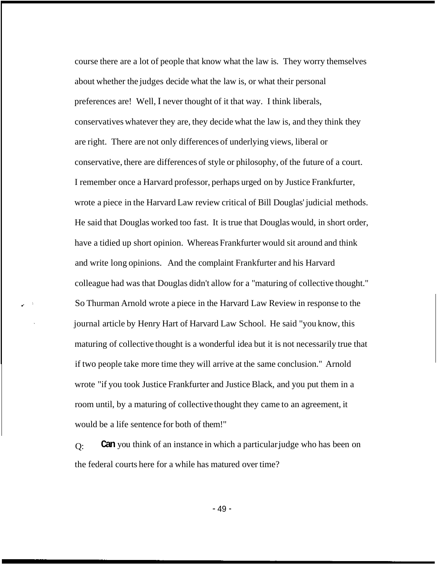course there are a lot of people that know what the law is. They worry themselves about whether the judges decide what the law is, or what their personal preferences are! Well, I never thought of it that way. I think liberals, conservatives whatever they are, they decide what the law is, and they think they are right. There are not only differences of underlying views, liberal or conservative, there are differences of style or philosophy, of the future of a court. I remember once a Harvard professor, perhaps urged on by Justice Frankfurter, wrote a piece in the Harvard Law review critical of Bill Douglas' judicial methods. He said that Douglas worked too fast. It is true that Douglas would, in short order, have a tidied up short opinion. Whereas Frankfurter would sit around and think and write long opinions. And the complaint Frankfurter and his Harvard colleague had was that Douglas didn't allow for a ''maturing of collective thought." So Thurman Arnold wrote a piece in the Harvard Law Review in response to the journal article by Henry Hart of Harvard Law School. He said "you know, this maturing of collective thought is a wonderful idea but it is not necessarily true that if two people take more time they will arrive at the same conclusion." Arnold wrote "if you took Justice Frankfurter and Justice Black, and you put them in a room until, by a maturing of collective thought they came to an agreement, it would be a life sentence for both of them!"

 $O:$ the federal courts here for a while has matured over time? **Can** you think of an instance in which a particular judge who has been on

- 49 -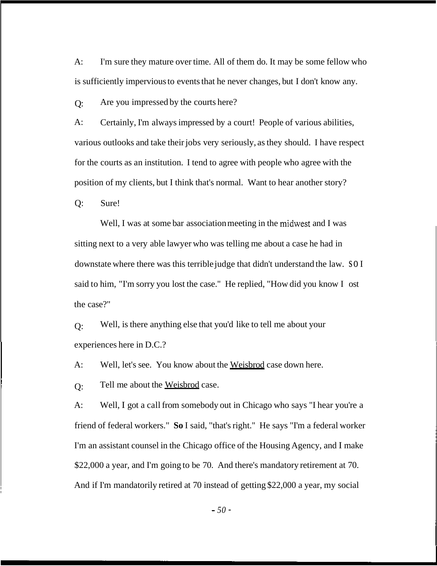A: is sufficiently impervious to events that he never changes, but I don't know any. I'm sure they mature over time. All of them do. It may be some fellow who

Q: Are you impressed by the courts here?

A: Certainly, I'm always impressed by a court! People of various abilities, various outlooks and take their jobs very seriously, as they should. I have respect for the courts as an institution. I tend to agree with people who agree with the position of my clients, but I think that's normal. Want to hear another story?

Q: Sure!

Well, I was at some bar association meeting in the midwest and I was sitting next to a very able lawyer who was telling me about a case he had in downstate where there was this terrible judge that didn't understand the law. SO I said to him, "I'm sorry you lost the case." He replied, "How did you know I ost the case?"

 $O:$ experiences here in D.C.? Well, is there anything else that you'd like to tell me about your

A: Well, let's see. You know about the Weisbrod case down here.

 $Q<sub>i</sub>$ Tell me about the Weisbrod case.

A: Well, I got a call from somebody out in Chicago who says "I hear you're a friend of federal workers." **So** I said, "that's right." He says "I'm a federal worker I'm an assistant counsel in the Chicago office of the Housing Agency, and I make \$22,000 a year, and I'm going to be 70. And there's mandatory retirement at 70. And if I'm mandatorily retired at 70 instead of getting \$22,000 a year, my social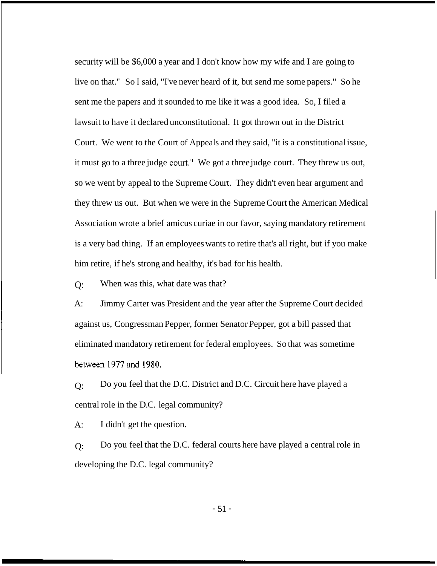security will be \$6,000 a year and I don't know how my wife and I are going to live on that." So I said, "I've never heard of it, but send me some papers." So he sent me the papers and it sounded to me like it was a good idea. So, I filed a lawsuit to have it declared unconstitutional. It got thrown out in the District Court. We went to the Court of Appeals and they said, "it is a constitutional issue, it must go to a three judge court." We got a three judge court. They threw us out, so we went by appeal to the Supreme Court. They didn't even hear argument and they threw us out. But when we were in the Supreme Court the American Medical Association wrote a brief amicus curiae in our favor, saying mandatory retirement is a very bad thing. If an employees wants to retire that's all right, but if you make him retire, if he's strong and healthy, it's bad for his health.

Q: When was this, what date was that?

 $A$ : against us, Congressman Pepper, former Senator Pepper, got a bill passed that Jimmy Carter was President and the year after the Supreme Court decided eliminated mandatory retirement for federal employees. So that was sometime between 1977 and 1980.

Q: Do you feel that the D.C. District and D.C. Circuit here have played a central role in the D.C. legal community?

A: I didn't get the question.

Q: Do you feel that the D.C. federal courts here have played a central role in developing the D.C. legal community?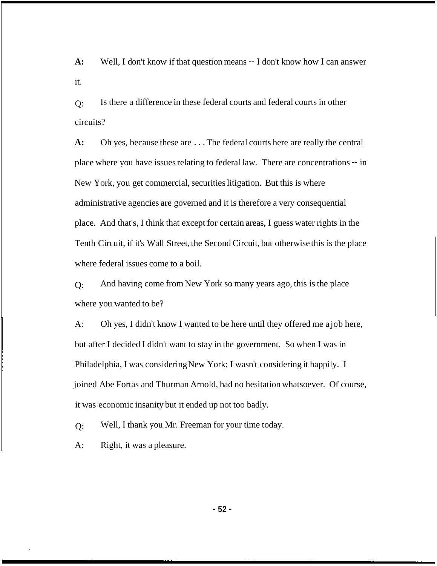**A:**  it. Well, I don't know if that question means -- I don't know how I can answer

 $O$ : circuits? Is there a difference in these federal courts and federal courts in other

**A:**  place where you have issues relating to federal law. There are concentrations -- in New York, you get commercial, securities litigation. But this is where administrative agencies are governed and it is therefore a very consequential place. And that's, I think that except for certain areas, I guess water rights in the Tenth Circuit, if it's Wall Street, the Second Circuit, but otherwise this is the place where federal issues come to a boil. Oh yes, because these are . . . The federal courts here are really the central

 $O:$ where you wanted to be? And having come from New York so many years ago, this is the place

A: but after I decided I didn't want to stay in the government. So when I was in Philadelphia, I was considering New York; I wasn't considering it happily. I joined Abe Fortas and Thurman Arnold, had no hesitation whatsoever. Of course, it was economic insanity but it ended up not too badly. Oh yes, I didn't know I wanted to be here until they offered me a job here,

 $O:$ Well, I thank you Mr. Freeman for your time today.

A: Right, it was a pleasure.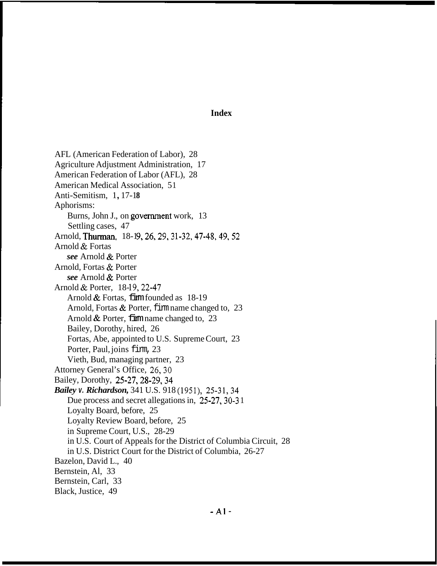## **Index**

AFL (American Federation of Labor), 28 Agriculture Adjustment Administration, 17 American Federation of Labor (AFL), 28 American Medical Association, 51 Anti-Semitism, 1, 17-18 Aphorisms: Burns, John J., on government work, 13 Settling cases, 47 Arnold, Thurman, 18-19, 26, 29, 31-32, 47-48, 49, 52 Arnold & Fortas *see* Arnold & Porter Arnold, Fortas & Porter *see* Arnold & Porter Arnold & Porter, 18-19, 22-47 Arnold & Fortas, *firm founded as* 18-19 Arnold, Fortas & Porter, firm name changed to, 23 Arnold & Porter, firm name changed to, 23 Bailey, Dorothy, hired, 26 Fortas, Abe, appointed to U.S. Supreme Court, 23 Porter, Paul, joins firm, 23 Vieth, Bud, managing partner, 23 Attorney General's Office, 26,30 Bailey, Dorothy, 25-27,28-29,34 *Bailey v. Richardson,* 341 U.S. 918 (1951), 25-31,34 Due process and secret allegations in, 25-27, 30-31 Loyalty Board, before, 25 Loyalty Review Board, before, 25 in Supreme Court, U.S., 28-29 in U.S. Court of Appeals for the District of Columbia Circuit, 28 in U.S. District Court for the District of Columbia, 26-27 Bazelon, David L., 40 Bernstein, Al, 33 Bernstein, Carl, 33 Black, Justice, 49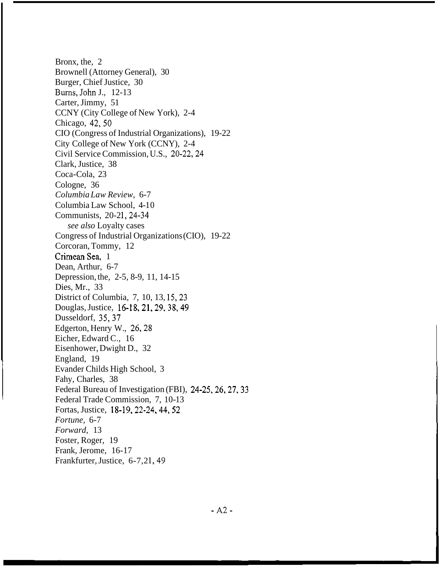Bronx, the, 2 Brownell (Attorney General), 30 Burger, Chief Justice, 30 Carter, Jimmy, 51 CCNY (City College of New York), 2-4 Chicago, 42,50 CIO (Congress of Industrial Organizations), 19-22 City College of New York (CCNY), 2-4 Civil Service Commission, U.S., 20-22,24 Clark, Justice, 38 Coca-Cola, 23 Cologne, 36 *Columbia Law Review,* 6-7 Columbia Law School, 4-10 Communists, 20-21, 24-34 *see also* Loyalty cases Congress of Industrial Organizations (CIO), 19-22 Corcoran, Tommy, 12 Crimean Sea, 1 Dean, Arthur, 6-7 Depression, the, 2-5, 8-9, 11, 14-15 Dies, Mr., 33 District of Columbia, 7, 10, 13, 15,23 Douglas, Justice, 16-18,21,29,38,49 Dusseldorf, 35,37 Edgerton, Henry W., 26,28 Eicher, Edward C., 16 Eisenhower, Dwight D., 32 England, 19 Evander Childs High School, 3 Fahy, Charles, 38 Federal Bureau of Investigation (FBI), 24-25, 26, 27, 33 Federal Trade Commission, 7, 10-13 Fortas, Justice, 18-19,22-24,44,52 *Fortune,* 6-7 *Forward,* 13 Foster, Roger, 19 Frank, Jerome, 16-17 Frankfurter, Justice, 6-7,21, 49 Burns, John J., 12-13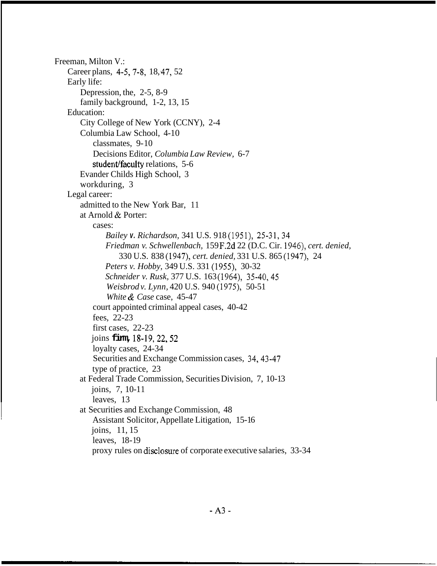Freeman, Milton V.: Career plans, 4-5, 7-8, 18, 47, 52 Early life: Depression, the, 2-5, 8-9 family background, 1-2, 13, 15 City College of New York (CCNY), 2-4 Columbia Law School, 4-10 Education: classmates, 9- 10 Decisions Editor, *Columbia Law Review,* 6-7 student/faculty relations, 5-6 Evander Childs High School, 3 workduring, 3 admitted to the New York Bar, 11 at Arnold & Porter: Legal career: cases: *Bailey v. Richardson,* 341 U.S. 918 (1951), 25-31,34 *Friedman v. Schwellenbach,* 159 F.2d 22 (D.C. Cir. 1946), *cert. denied, Peters v. Hobby,* 349 U.S. 331 (1955), 30-32 *Schneider v. Rusk,* 377 U.S. 163 (1964), 35-40,45 *Weisbrod v. Lynn,* 420 U.S. 940 (1975), 50-51 *White* & *Case* case, 45-47 330 U.S. 838 (1947), *cert. denied,* 331 U.S. 865 (1947), 24 court appointed criminal appeal cases, 40-42 fees, 22-23 first cases, 22-23 joins **firm,** 18-19,22,52 loyalty cases, 24-34 Securities and Exchange Commission cases, 34,43-47 type of practice, 23 joins, 7, 10-11 leaves, 13 Assistant Solicitor, Appellate Litigation, 15-16 joins, 11, 15 leaves, 18-19 proxy rules on disclosure of corporate executive salaries, 33-34 at Federal Trade Commission, Securities Division, 7, 10-13 at Securities and Exchange Commission, 48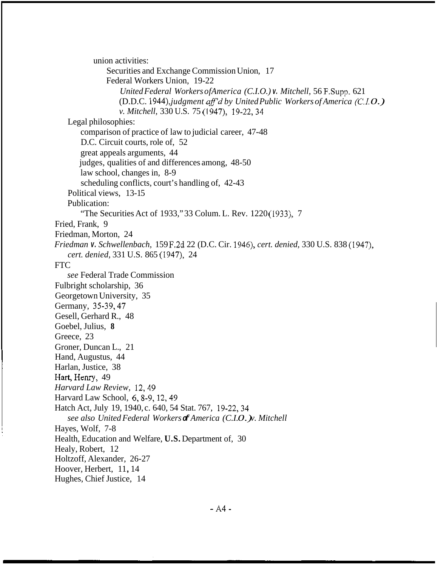union activities: Securities and Exchange Commission Union, 17 Federal Workers Union, 19-22 *United Federal Workers ofAmerica (C.I.O.) v. Mitchell,* 56 F.Supp. 621 (D.D.C. 1944), *judgment af'd by United Public Workers of America (C.I. 0.) v. Mitchell,* 330 U.S. 75 (1947), 19-22,34 Legal philosophies: comparison of practice of law to judicial career, 47-48 D.C. Circuit courts, role of, 52 great appeals arguments, 44 judges, qualities of and differences among, 48-50 law school, changes in, 8-9 scheduling conflicts, court's handling of, 42-43 Political views, 13-15 Publication: Fried, Frank, 9 Friedman, Morton, 24 *Friedman v. Schwellenbach,* 159 F.2d 22 (D.C. Cir. 1946), *cert. denied,* 330 U.S. 838 (1947), FTC Fulbright scholarship, 36 Georgetown University, 35 Germany, 35-39,47 Gesell, Gerhard R., 48 Goebel, Julius, **8**  Greece, 23 Groner, Duncan L., 21 Hand, Augustus, 44 Harlan, Justice, 38 Hart, Henry, 49 *Harvard Law Review,* 12,49 Harvard Law School, 6,8-9, 12,49 Hatch Act, July 19, 1940, c. 640, 54 Stat. 767, 19-22,34 Hayes, Wolf, 7-8 Health, Education and Welfare, **U.S.** Department of, 30 Healy, Robert, 12 Holtzoff, Alexander, 26-27 Hoover, Herbert, 11, 14 Hughes, Chief Justice, 14 "The Securities Act of 1933," 33 Colum. L. Rev. 1220 (1933), 7 *cert. denied,* 331 U.S. 865 (1947), 24 *see* Federal Trade Commission *see also United Federal Workers of America (C.I. 0.) v. Mitchell*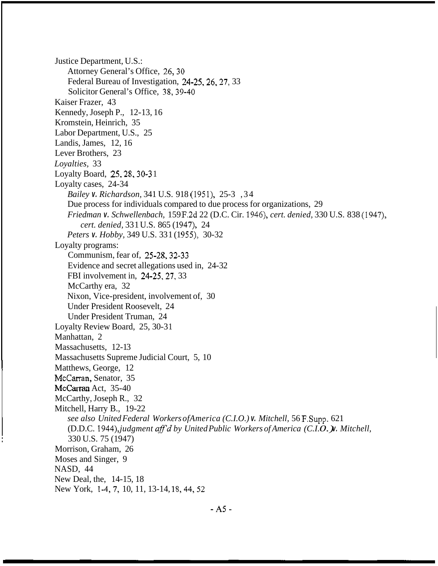Justice Department, U.S.: Attorney General's Office, 26,30 Federal Bureau of Investigation, 24-25, 26, 27, 33 Solicitor General's Office, 38,39-40 Kaiser Frazer, 43 Kennedy, Joseph P., 12-13, 16 Kromstein, Heinrich, 35 Labor Department, U.S., 25 Landis, James, 12, 16 Lever Brothers, 23 *Loyalties,* 33 Loyalty Board, 25,28,30-3 1 Loyalty cases, 24-34 *Bailey v. Richardson,* 341 U.S. 918 (1951), 25-3 ,34 Due process for individuals compared to due process for organizations, 29 *Friedman v. Schwellenbach,* 159 F.2d 22 (D.C. Cir. 1946), *cert. denied,* 330 U.S. 838 (1947), *cert. denied,* 331 U.S. 865 (1947), 24 *Peters v. Hobby, 349 U.S. 331 (1955), 30-32* Communism, fear of, 25-28,32-33 Evidence and secret allegations used in, 24-32 FBI involvement in, 24-25,27, 33 McCarthy era, 32 Nixon, Vice-president, involvement of, 30 Under President Roosevelt, 24 Under President Truman, 24 Loyalty programs: Loyalty Review Board, 25, 30-3 1 Manhattan, 2 Massachusetts, 12-13 Massachusetts Supreme Judicial Court, 5, 10 Matthews, George, 12 McCarran, Senator, 35 McCarthy, Joseph R., 32 Mitchell, Harry B., 19-22 McCarran Act, 35-40 *see also United Federal Workers ofAmerica (C.I.O.) v. Mitchell,* 56 F.Supp. 621 (D.D.C. 1944), *judgment aff'd by United Public Workers of America (C.I.O. ).* Mitchell, 330 U.S. 75 (1947) Morrison, Graham, 26 Moses and Singer, 9 NASD, 44 New Deal, the, 14-15, 18 New York, 1-4, 7, 10, 11, 13-14, 18, 44, 52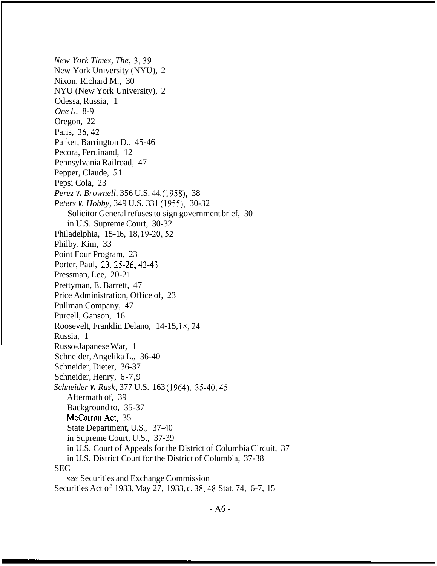*New York Times, The,* 3,39 New York University (NYU), 2 Nixon, Richard M., 30 NYU (New York University), 2 Odessa, Russia, 1 *One L,* 8-9 Oregon, 22 Paris, 36,42 Parker, Barrington D., 45-46 Pecora, Ferdinand, 12 Pennsylvania Railroad, 47 Pepper, Claude, *5* 1 Pepsi Cola, 23 *Perez v. Brownell,* 356 U.S. 44. (1958), 38 *Peters v. Hobby,* 349 U.S. 331 (1955), 30-32 Solicitor General refuses to sign government brief, 30 in U.S. Supreme Court, 30-32 Philadelphia, 15-16, 18, 19-20, 52 Philby, Kim, 33 Point Four Program, 23 Porter, Paul, 23,25-26,42-43 Pressman, Lee, 20-21 Prettyman, E. Barrett, 47 Price Administration, Office of, 23 Pullman Company, 47 Purcell, Ganson, 16 Roosevelt, Franklin Delano, 14-15, 18,24 Russia, 1 Russo-Japanese War, 1 Schneider, Angelika L., 36-40 Schneider, Dieter, 36-37 Schneider, Henry, 6-7,9 *Schneider v. Rusk,* 377 U.S. 163 (1964), 35-40,45 Aftermath of, 39 Background to, 35-37 McCarran Act, 35 State Department, U.S., 37-40 in Supreme Court, U.S., 37-39 in U.S. Court of Appeals for the District of Columbia Circuit, 37 in U.S. District Court for the District of Columbia, 37-38 *see* Securities and Exchange Commission SEC Securities Act of 1933, May 27, 1933, c. 38,48 Stat. 74, 6-7, 15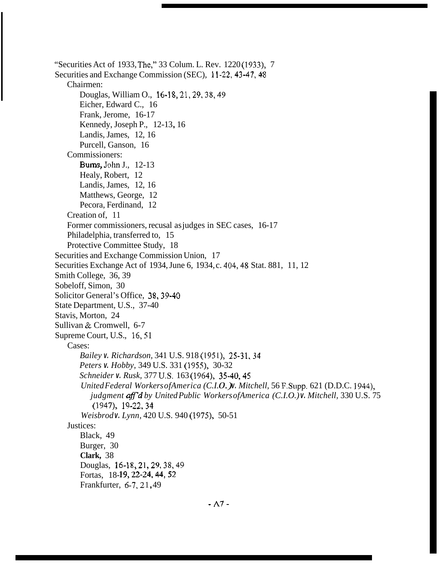"Securities Act of 1933, The," 33 Colum. L. Rev. 1220 (1933), 7 Securities and Exchange Commission (SEC), 11-22, 43-47, 48 Chairmen: Douglas, William O., 16-18,21,29, 38,49 Eicher, Edward C., 16 Frank, Jerome, 16-17 Kennedy, Joseph P., 12-13, 16 Landis, James, 12, 16 Purcell, Ganson, 16 Commissioners: Burns, John J., 12-13 Healy, Robert, 12 Landis, James, 12, 16 Matthews, George, 12 Pecora, Ferdinand, 12 Creation of, 11 Former commissioners, recusal as judges in SEC cases, 16-17 Philadelphia, transferred to, 15 Protective Committee Study, 18 Securities and Exchange Commission Union, 17 Securities Exchange Act of 1934, June 6, 1934, c. 404,48 Stat. 881, 11, 12 Smith College, 36, 39 Sobeloff, Simon, 30 Solicitor General's Office, 38,39-40 State Department, U.S., 37-40 Stavis, Morton, 24 Sullivan & Cromwell, 6-7 Supreme Court, U.S., 16,51 Cases: *Bailey v. Richardson,* 341 U.S. 918 (1951), 25-31,34 *Peters v. Hobby,* 349 U.S. 331 (1955), 30-32 *Schneider v. Rusk,* 377 US. 163 (1964), 35-40,45 *United Federal Workers of America (C.I.O. )v. Mitchell, 56 F. Supp. 621 (D.D.C. 1944), Weisbrod v. Lynn,* 420 U.S. 940 (1975), 50-51 Black, 49 Burger, 30 **Clark,** 38 Douglas, 16-18,21,29, 38,49 Fortas, 18-19, 22-24, 44, 52 Frankfurter, 6-7, 21, 49 *judgment aff*<sup>*d*</sup> by United Public Workers of America (C.I.O.) *v. Mitchell, 330 U.S. 75* (1947), 19-22,34 Justices: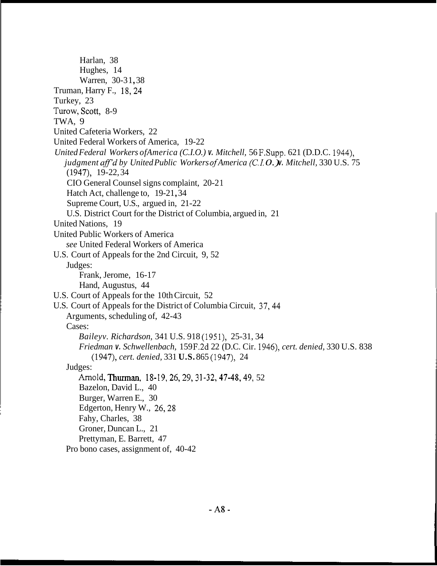Harlan, 38 Hughes, 14 Warren, 30-31,38 Truman, Harry F., 18,24 Turkey, 23 TWA, 9 United Cafeteria Workers, 22 United Federal Workers of America, 19-22 *United Federal Workers ofAmerica (C.I.O.) v. Mitchell,* 56 F.Supp. 621 (D.D.C. 1944), Turow, Scott, 8-9 *judgment aff'd by United Public Workers of America (C.I.O.) v. Mitchell, 330 U.S. 75* CIO General Counsel signs complaint, 20-2 1 Hatch Act, challenge to, 19-21, 34 Supreme Court, U.S., argued in, 21-22 U.S. District Court for the District of Columbia, argued in, 21  $(1947), 19-22, 34$ United Nations, 19 United Public Workers of America *see* United Federal Workers of America U.S. Court of Appeals for the 2nd Circuit, 9, 52 Judges: Frank, Jerome, 16-17 Hand, Augustus, 44 U.S. Court of Appeals for the 10th Circuit, 52 U.S. Court of Appeals for the District of Columbia Circuit, 37,44 Arguments, scheduling of, 42-43 Cases: *Baileyv. Richardson,* 341 U.S. 918 (1951), 25-31, 34 *Friedman v. Schwellenbach,* 159 F.2d 22 (D.C. Cir. 1946), *cert. denied,* 330 U.S. 838 (1947), *cert. denied,* 331 **U.S.** 865 (1947), 24 Judges: Arnold, Thurman, 18-19, 26, 29, 31-32, 47-48, 49, 52 Bazelon, David L., 40 Burger, Warren E., 30 Edgerton, Henry W., 26,28 Fahy, Charles, 38 Groner, Duncan L., 21 Prettyman, E. Barrett, 47 Pro bono cases, assignment of, 40-42